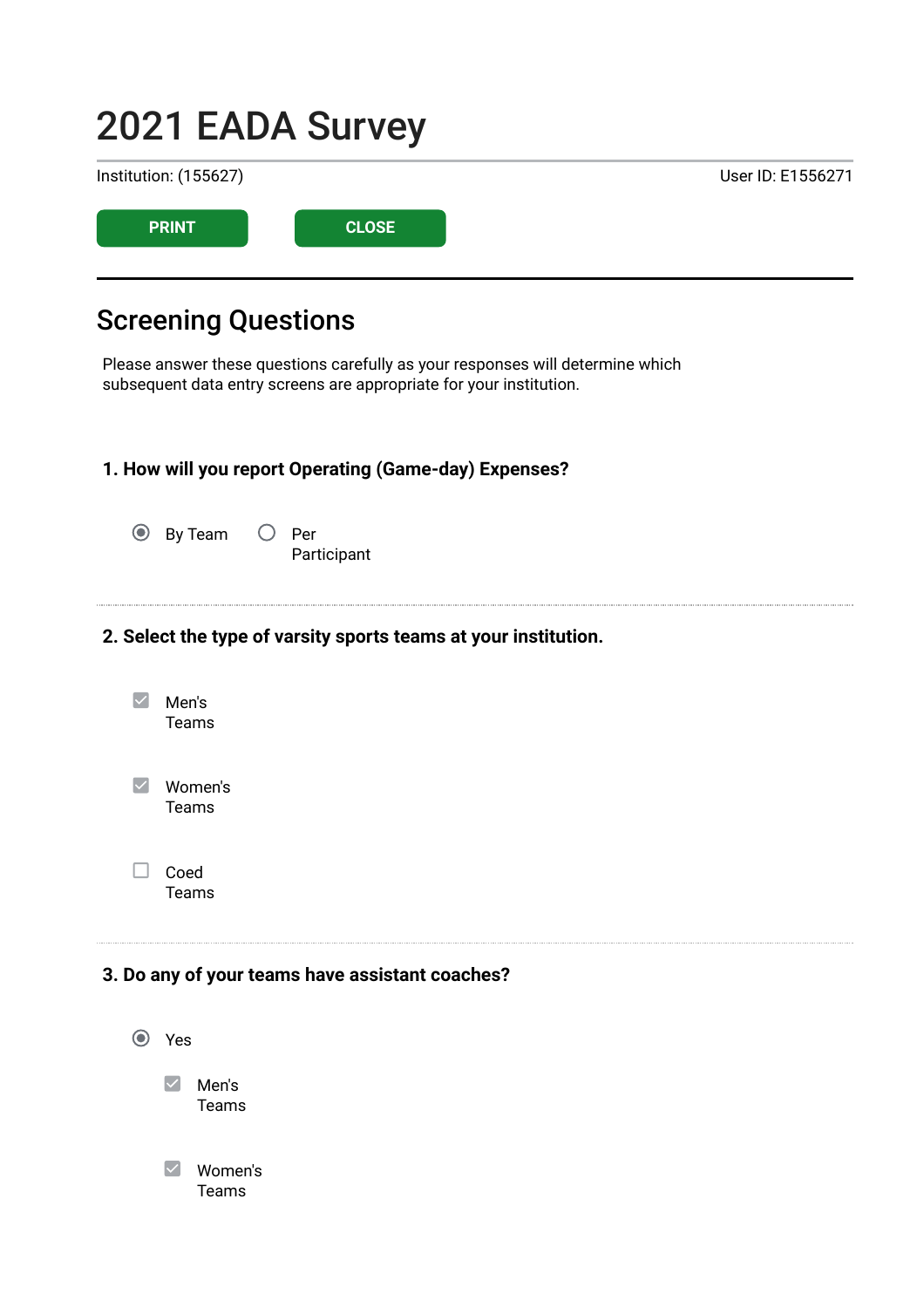# 2021 EADA Survey Institution: (155627) User ID: E1556271 PRINT CLOSE

# Screening Questions

Please answer these questions carefully as your responses will determine which subsequent data entry screens are appropriate for your institution.

#### 1. How will you report Operating (Game-day) Expenses?

| <b>◎</b> By Team | $\bigcirc$ Per |
|------------------|----------------|
|                  | Participant    |

#### 2. Select the type of varsity sports teams at your institution.

| Men's<br>Teams   |
|------------------|
| Women's<br>Teams |
| Coed             |

Teams

#### 3. Do any of your teams have assistant coaches?

Yes  $\vee$  Men's Teams Women's Teams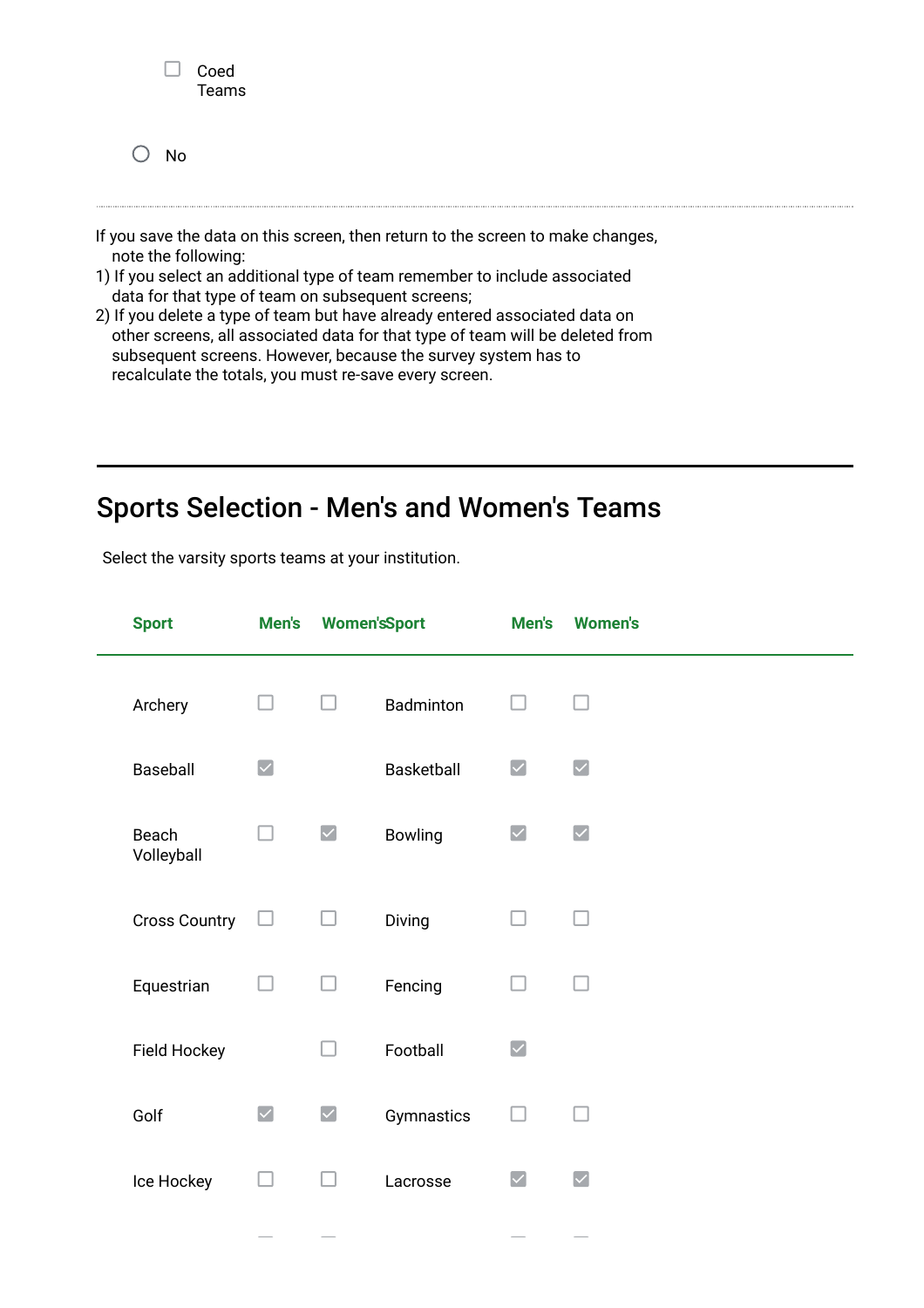|               | Coed<br><b>Teams</b> |  |
|---------------|----------------------|--|
| $\bigcirc$ No |                      |  |

- If you save the data on this screen, then return to the screen to make changes, note the following:
- 1) If you select an additional type of team remember to include associated data for that type of team on subsequent screens;
- 2) If you delete a type of team but have already entered associated data on other screens, all associated data for that type of team will be deleted from subsequent screens. However, because the survey system has to recalculate the totals, you must re-save every screen.

# Sports Selection - Men's and Women's Teams

Select the varsity sports teams at your institution.

| <b>Sport</b>         | Men's                | <b>Women'sSport</b>  |            | Men's                        | <b>Women's</b>       |
|----------------------|----------------------|----------------------|------------|------------------------------|----------------------|
| Archery              |                      |                      | Badminton  |                              |                      |
| Baseball             | $\blacktriangledown$ |                      | Basketball | $\boldsymbol{ \mathcal{q} }$ | $\blacktriangledown$ |
| Beach<br>Volleyball  |                      | $\blacktriangledown$ | Bowling    | $\blacktriangledown$         | $\blacktriangledown$ |
| <b>Cross Country</b> | $\Box$               |                      | Diving     |                              |                      |
| Equestrian           |                      |                      | Fencing    |                              |                      |
| Field Hockey         |                      |                      | Football   | $\blacktriangledown$         |                      |
| Golf                 | $\blacktriangledown$ | $\blacktriangledown$ | Gymnastics |                              |                      |
| Ice Hockey           |                      |                      | Lacrosse   | $\blacktriangledown$         | $\blacktriangledown$ |
|                      |                      |                      |            |                              |                      |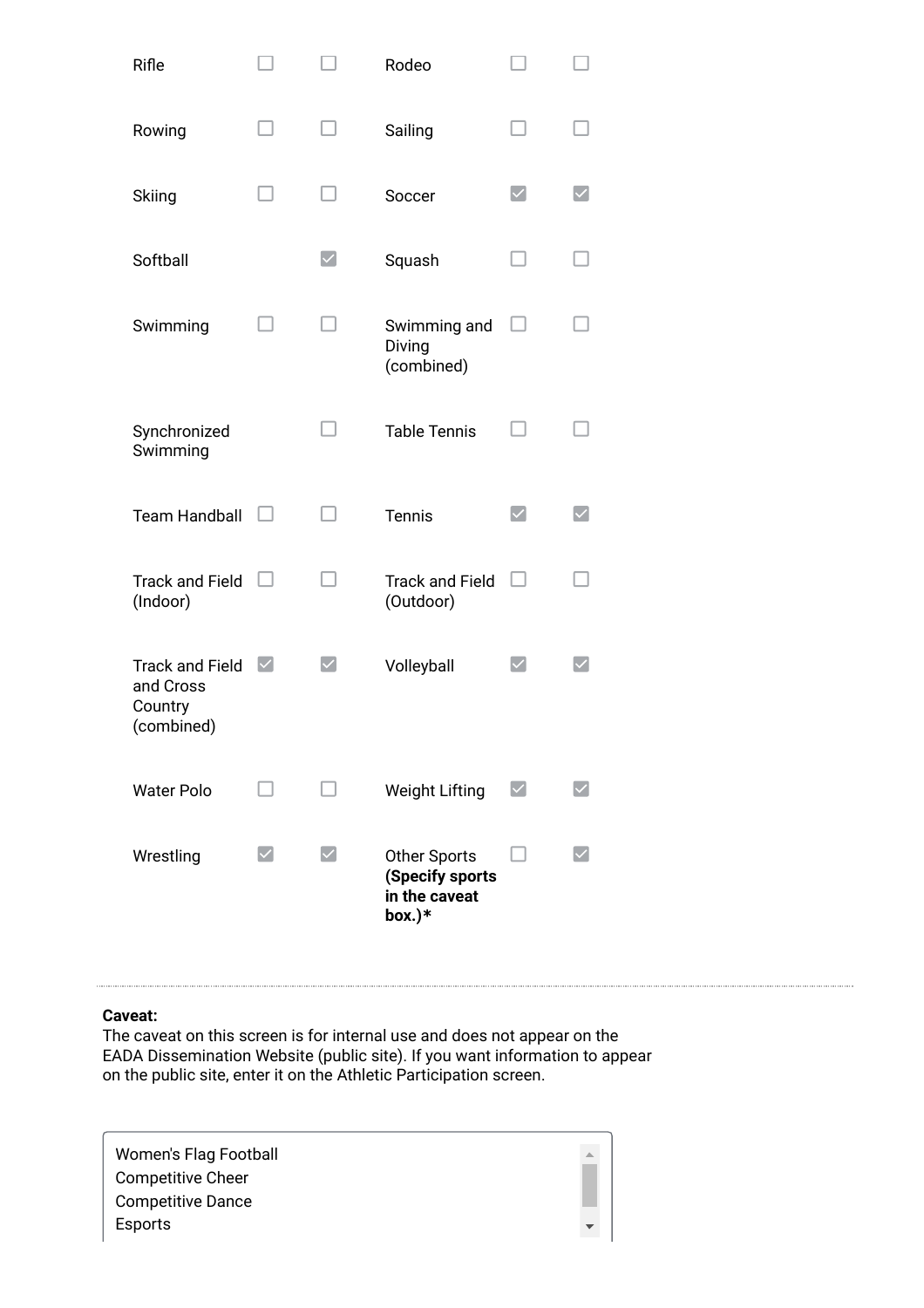| Rifle                                                        |                                             |                        | Rodeo                                                             |                      |  |
|--------------------------------------------------------------|---------------------------------------------|------------------------|-------------------------------------------------------------------|----------------------|--|
| Rowing                                                       |                                             |                        | Sailing                                                           |                      |  |
| Skiing                                                       |                                             |                        | Soccer                                                            | $\blacktriangledown$ |  |
| Softball                                                     |                                             | $\vert\checkmark\vert$ | Squash                                                            |                      |  |
| Swimming                                                     |                                             |                        | Swimming and<br>Diving<br>(combined)                              |                      |  |
| Synchronized<br>Swimming                                     |                                             |                        | <b>Table Tennis</b>                                               |                      |  |
| <b>Team Handball</b>                                         |                                             |                        | <b>Tennis</b>                                                     | $\checkmark$         |  |
| <b>Track and Field</b><br>(Indoor)                           |                                             |                        | <b>Track and Field</b><br>(Outdoor)                               |                      |  |
| <b>Track and Field</b><br>and Cross<br>Country<br>(combined) | $\vert\mathcal{\mathcal{\mathcal{L}}}\vert$ |                        | Volleyball                                                        |                      |  |
| <b>Water Polo</b>                                            |                                             |                        | <b>Weight Lifting</b>                                             |                      |  |
| Wrestling                                                    |                                             |                        | <b>Other Sports</b><br>(Specify sports<br>in the caveat<br>box.)* |                      |  |

#### Caveat:

The caveat on this screen is for internal use and does not appear on the EADA Dissemination Website (public site). If you want information to appear on the public site, enter it on the Athletic Participation screen.

| Women's Flag Football<br><b>Competitive Cheer</b> |  |
|---------------------------------------------------|--|
| <b>Competitive Dance</b>                          |  |
| Esports                                           |  |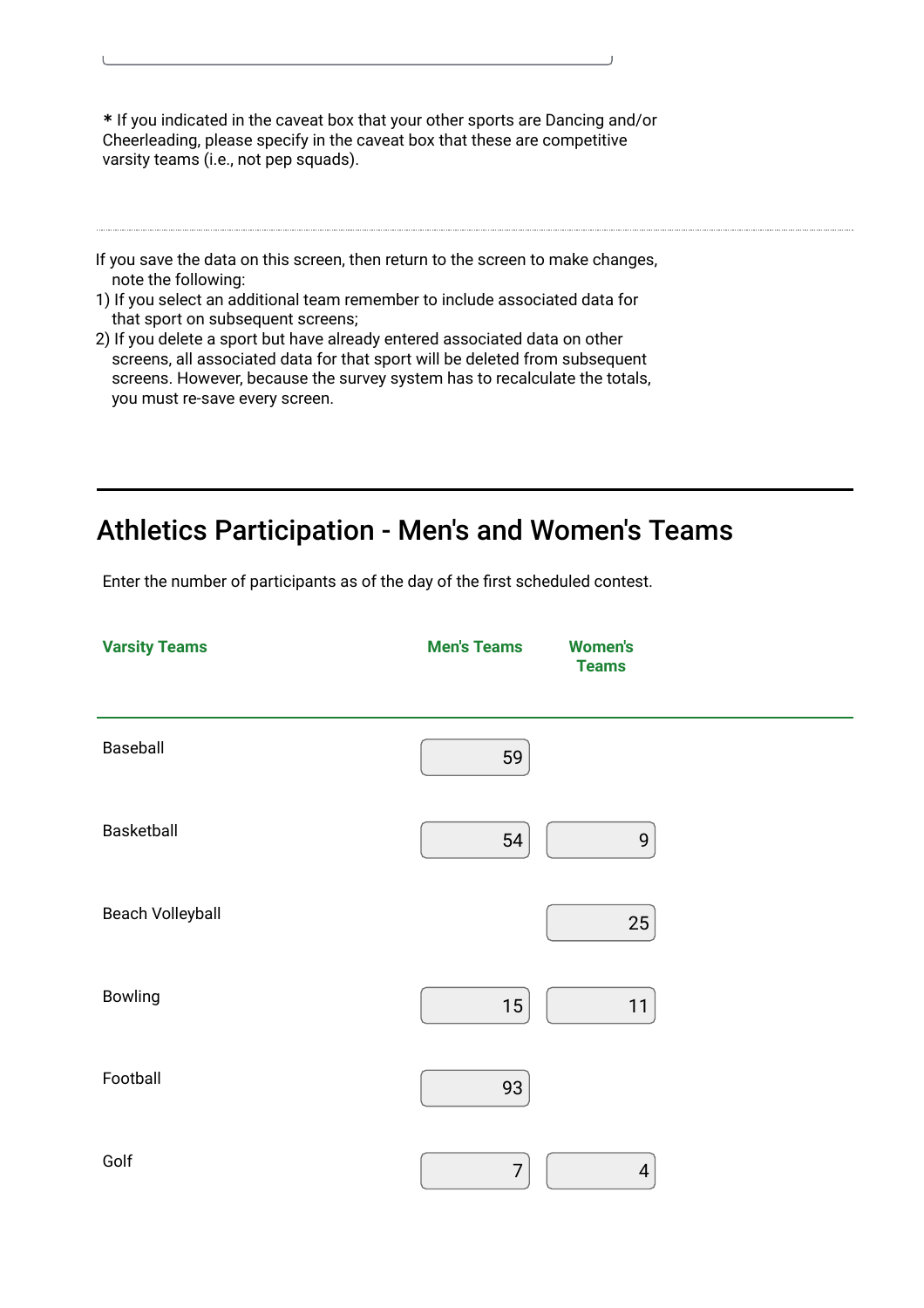\* If you indicated in the caveat box that your other sports are Dancing and/or Cheerleading, please specify in the caveat box that these are competitive varsity teams (i.e., not pep squads).

- If you save the data on this screen, then return to the screen to make changes, note the following:
- 1) If you select an additional team remember to include associated data for that sport on subsequent screens;
- 2) If you delete a sport but have already entered associated data on other screens, all associated data for that sport will be deleted from subsequent screens. However, because the survey system has to recalculate the totals, you must re-save every screen.

# Athletics Participation - Men's and Women's Teams

Enter the number of participants as of the day of the first scheduled contest.

| <b>Varsity Teams</b> | <b>Men's Teams</b> | <b>Women's</b><br><b>Teams</b> |
|----------------------|--------------------|--------------------------------|
| Baseball             | 59                 |                                |
| Basketball           | 54                 | 9                              |
| Beach Volleyball     |                    | 25                             |
| <b>Bowling</b>       | 15                 | 11                             |
| Football             | 93                 |                                |
| Golf                 | $\overline{7}$     | 4                              |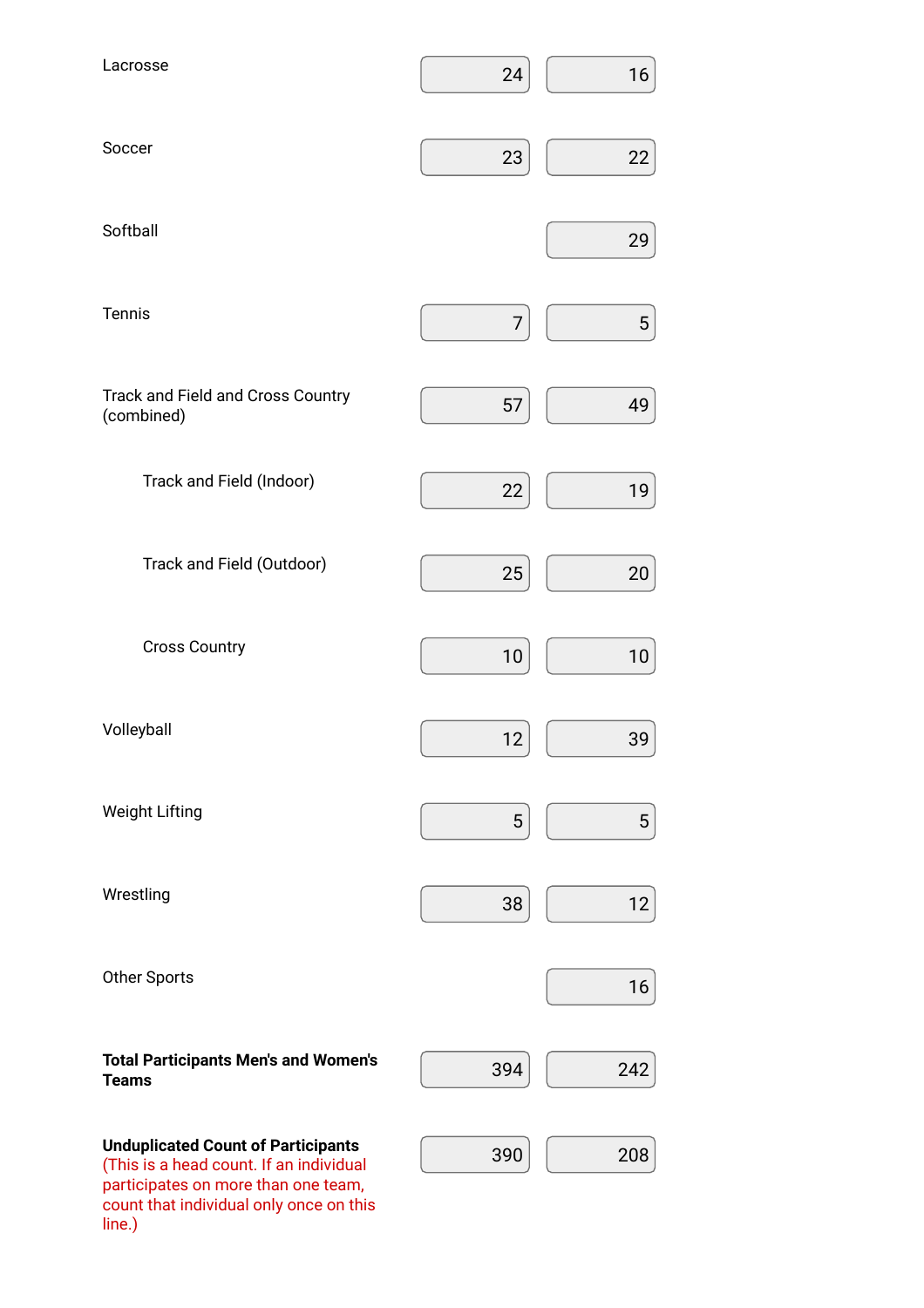| Lacrosse                                                                                                                    | 24  | 16              |
|-----------------------------------------------------------------------------------------------------------------------------|-----|-----------------|
| Soccer                                                                                                                      | 23  | 22              |
| Softball                                                                                                                    |     | 29              |
| Tennis                                                                                                                      | 7   | $\overline{5}$  |
| <b>Track and Field and Cross Country</b><br>(combined)                                                                      | 57  | 49              |
| Track and Field (Indoor)                                                                                                    | 22  | 19              |
| Track and Field (Outdoor)                                                                                                   | 25  | 20              |
| <b>Cross Country</b>                                                                                                        | 10  | 10              |
| Volleyball                                                                                                                  | 12  | 39              |
| <b>Weight Lifting</b>                                                                                                       | 5   | $5\phantom{.0}$ |
| Wrestling                                                                                                                   | 38  | 12              |
| <b>Other Sports</b>                                                                                                         |     | 16              |
| <b>Total Participants Men's and Women's</b><br><b>Teams</b>                                                                 | 394 | 242             |
| <b>Unduplicated Count of Participants</b><br>(This is a head count. If an individual<br>participates on more than one team, | 390 | 208             |

count that individual only once on this

line.)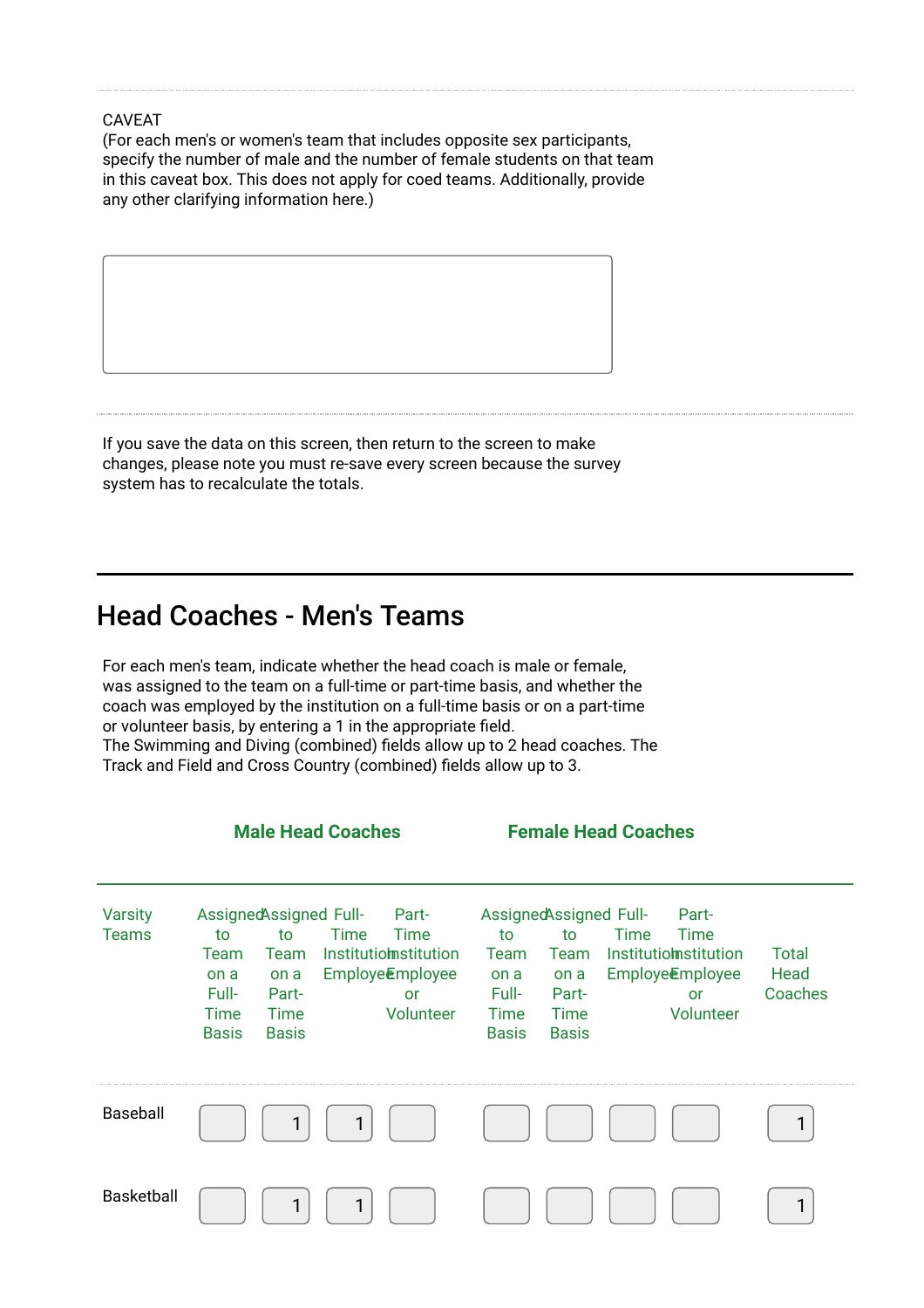(For each men's or women's team that includes opposite sex participants, specify the number of male and the number of female students on that team in this caveat box. This does not apply for coed teams. Additionally, provide any other clarifying information here.)

If you save the data on this screen, then return to the screen to make changes, please note you must re-save every screen because the survey system has to recalculate the totals.

### Head Coaches - Men's Teams

For each men's team, indicate whether the head coach is male or female, was assigned to the team on a full-time or part-time basis, and whether the coach was employed by the institution on a full-time basis or on a part-time or volunteer basis, by entering a 1 in the appropriate field. The Swimming and Diving (combined) fields allow up to 2 head coaches. The Track and Field and Cross Country (combined) fields allow up to 3.

Male Head Coaches Female Head Coaches **Varsity** Teams Assigned Assigned Fullto Team on a Full-Time **Basis** to Team Institutiomstitution on a Part-Time **Basis** Time Employe**E**mployee Part-Time or Volunteer Assigned Assigned Fullto Team on a Full-Time **Basis** to Team Institutiomstitution on a Part-Time **Basis** Time Employe**E**mployee Part-Time or Volunteer Total **Head** Coaches Baseball 1 | 1 | | | | | | | | | | 1 Basketball 1 | 1 | | | | | | | | | | | 1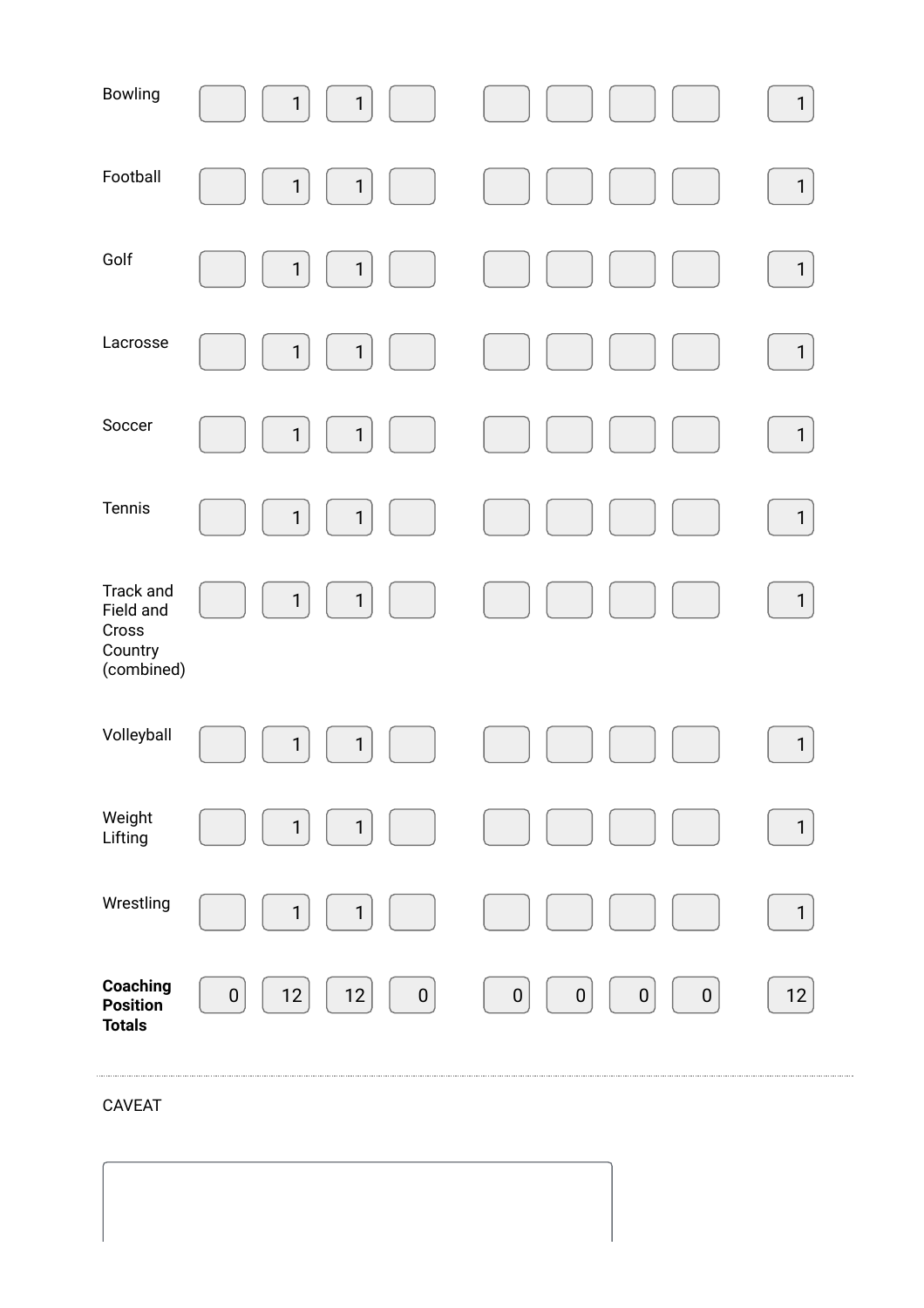| Bowling                                                  | $\mathbf{1}$<br>$\mathbf 1$      |                                                                     | $\mathbf{1}$ |
|----------------------------------------------------------|----------------------------------|---------------------------------------------------------------------|--------------|
| Football                                                 | $\mathbf{1}$<br>$\mathbf{1}$     |                                                                     | $\mathbf{1}$ |
| Golf                                                     | $\mathbf{1}$<br>$\mathbf 1$      |                                                                     | $\mathbf{1}$ |
| Lacrosse                                                 | $\mathbf{1}$<br>$\mathbf{1}$     |                                                                     | $\mathbf{1}$ |
| Soccer                                                   | $\mathbf{1}$<br>$\mathbf{1}$     |                                                                     | $\mathbf{1}$ |
| Tennis                                                   | $\mathbf{1}$<br>$\mathbf 1$      |                                                                     | $\mathbf{1}$ |
| Track and<br>Field and<br>Cross<br>Country<br>(combined) | $\mathbf 1$<br>$\mathbf{1}$      |                                                                     | $\mathbf{1}$ |
| Volleyball                                               | $\mathbf{1}$<br>$\mathbf{1}$     |                                                                     | $\mathbf{1}$ |
| Weight<br>Lifting                                        | $\mathbf{1}$<br>$\mathbf{1}$     |                                                                     | $\mathbf{1}$ |
| Wrestling                                                | $\mathbf{1}$<br>$\mathbf{1}$     |                                                                     | $\mathbf{1}$ |
| Coaching<br><b>Position</b><br><b>Totals</b>             | $12$<br>$12$<br>$\boldsymbol{0}$ | ${\bf 0}$<br>$\pmb{0}$<br>$\pmb{0}$<br>$\vert 0 \vert$<br>$\pmb{0}$ | 12           |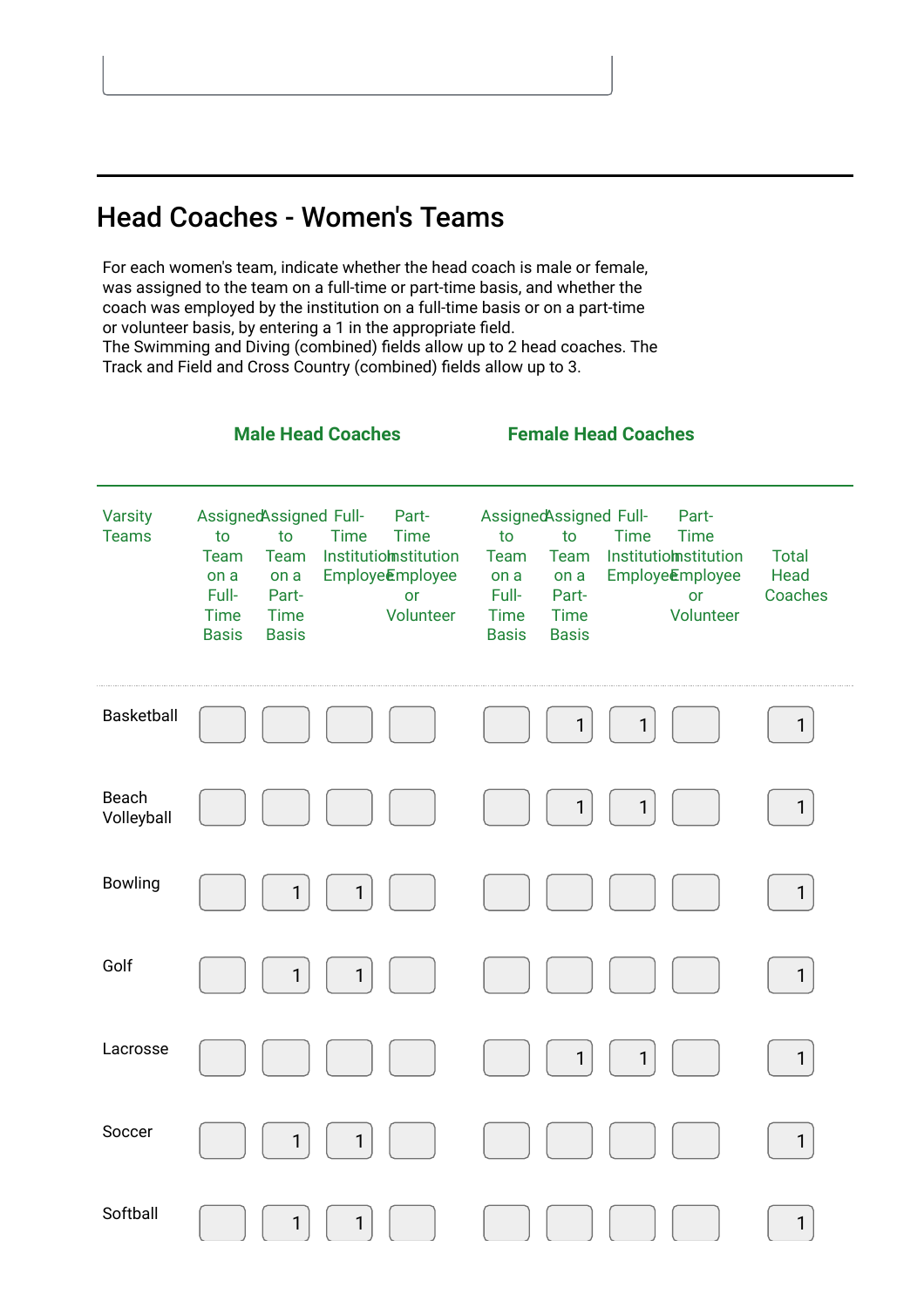# Head Coaches - Women's Teams

For each women's team, indicate whether the head coach is male or female, was assigned to the team on a full-time or part-time basis, and whether the coach was employed by the institution on a full-time basis or on a part-time or volunteer basis, by entering a 1 in the appropriate field. The Swimming and Diving (combined) fields allow up to 2 head coaches. The Track and Field and Cross Country (combined) fields allow up to 3.

| <b>Varsity</b><br><b>Teams</b> | AssignedAssigned Full-<br>to<br>Team<br>on a<br>Full-<br><b>Time</b><br><b>Basis</b> | to<br>Team<br>on a<br>Part-<br><b>Time</b><br><b>Basis</b> | <b>Time</b>  | Part-<br><b>Time</b><br>Institutiomstitution<br>Employe <b>Employee</b><br><b>or</b><br>Volunteer | AssignedAssigned Full-<br>to<br>Team<br>on a<br>Full-<br><b>Time</b><br><b>Basis</b> | to<br>Team<br>on a<br>Part-<br><b>Time</b><br><b>Basis</b> | <b>Time</b>  | Part-<br><b>Time</b><br>Institutiomstitution<br>Employe <b>Employee</b><br><b>or</b><br>Volunteer | <b>Total</b><br>Head<br>Coaches |
|--------------------------------|--------------------------------------------------------------------------------------|------------------------------------------------------------|--------------|---------------------------------------------------------------------------------------------------|--------------------------------------------------------------------------------------|------------------------------------------------------------|--------------|---------------------------------------------------------------------------------------------------|---------------------------------|
| <b>Basketball</b>              |                                                                                      |                                                            |              |                                                                                                   |                                                                                      | 1                                                          | $\mathbf{1}$ |                                                                                                   | $\mathbf{1}$                    |
| Beach<br>Volleyball            |                                                                                      |                                                            |              |                                                                                                   |                                                                                      | $\mathbf{1}$                                               | $\mathbf{1}$ |                                                                                                   | $\mathbf{1}$                    |
| <b>Bowling</b>                 |                                                                                      | 1                                                          | $\mathbf{1}$ |                                                                                                   |                                                                                      |                                                            |              |                                                                                                   | $\mathbf{1}$                    |
| Golf                           |                                                                                      | 1                                                          | $\mathbf{1}$ |                                                                                                   |                                                                                      |                                                            |              |                                                                                                   | $\mathbf{1}$                    |
| Lacrosse                       |                                                                                      |                                                            |              |                                                                                                   |                                                                                      | $\mathbf{1}$                                               | $\mathbf{1}$ |                                                                                                   | $\mathbf{1}$                    |
| Soccer                         |                                                                                      | 1                                                          | $\mathbf{1}$ |                                                                                                   |                                                                                      |                                                            |              |                                                                                                   | $\mathbf{1}$                    |
| Softball                       |                                                                                      | 1                                                          | 1            |                                                                                                   |                                                                                      |                                                            |              |                                                                                                   | $\mathbf{1}$                    |

Male Head Coaches Female Head Coaches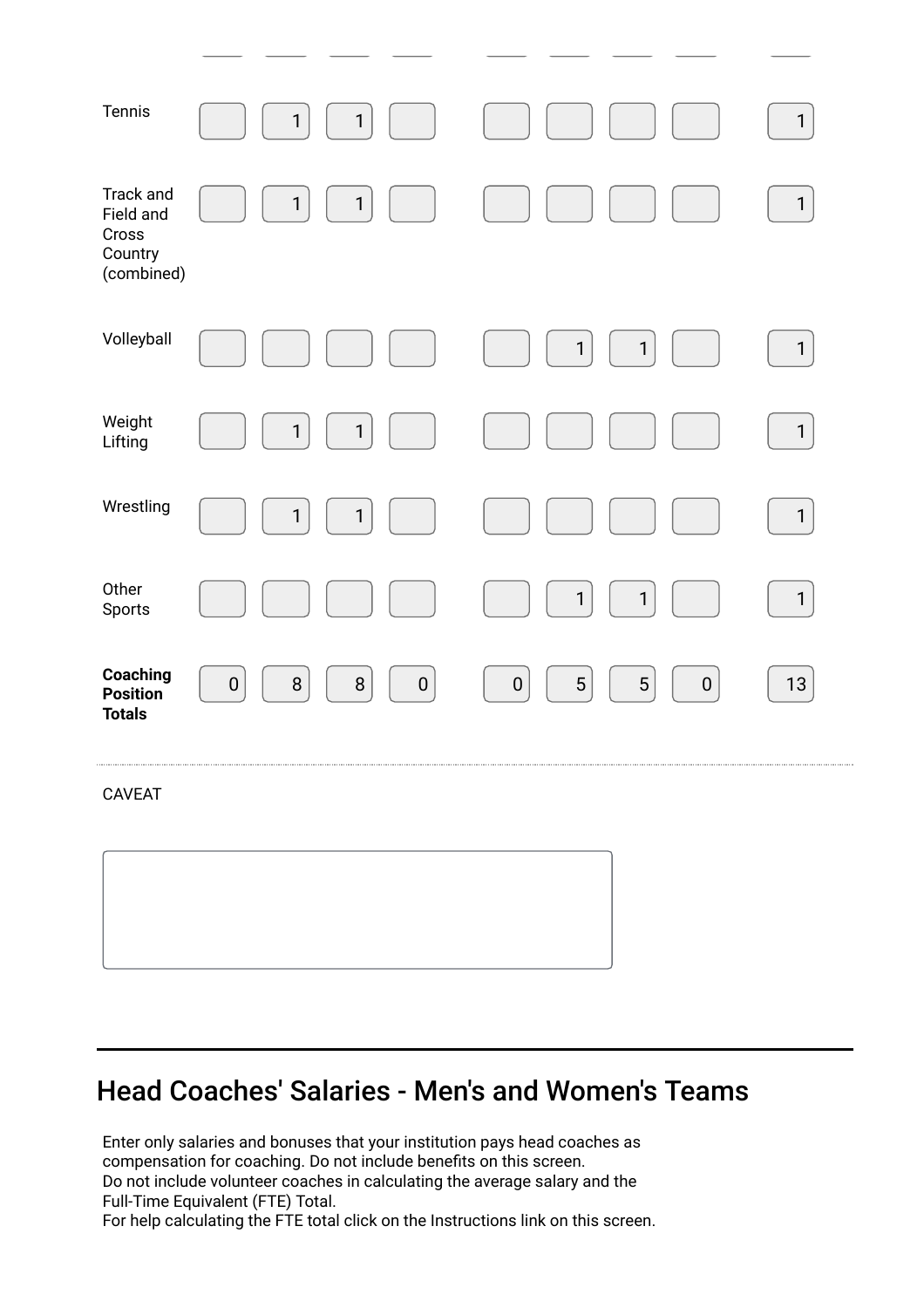| Tennis                                                   | $\mathbf{1}$<br>$\mathbf{1}$               |                                                  | $\mathbf{1}$ |
|----------------------------------------------------------|--------------------------------------------|--------------------------------------------------|--------------|
| Track and<br>Field and<br>Cross<br>Country<br>(combined) | $\mathbf{1}$<br>$\mathbf{1}$               |                                                  | $\mathbf{1}$ |
| Volleyball                                               |                                            | $\mathbf{1}$<br>$\mathbf{1}$                     | $\mathbf{1}$ |
| Weight<br>Lifting                                        | $\mathbf{1}$<br>$\mathbf{1}$               |                                                  | $\mathbf{1}$ |
| Wrestling                                                | $\mathbf{1}$<br>$\mathbf{1}$               |                                                  | $\mathbf{1}$ |
| Other<br>Sports                                          |                                            | $\mathbf{1}$<br>$\mathbf 1$                      | $\mathbf{1}$ |
| Coaching<br><b>Position</b><br><b>Totals</b>             | $\, 8$<br>$\, 8$<br>${\bf 0}$<br>$\pmb{0}$ | $\sqrt{5}$<br>5<br>$\pmb{0}$<br>$\boldsymbol{0}$ | 13           |
| CAVEAT                                                   |                                            |                                                  |              |
|                                                          |                                            |                                                  |              |
|                                                          |                                            |                                                  |              |

# Head Coaches' Salaries - Men's and Women's Teams

Enter only salaries and bonuses that your institution pays head coaches as compensation for coaching. Do not include benefits on this screen. Do not include volunteer coaches in calculating the average salary and the Full-Time Equivalent (FTE) Total.

For help calculating the FTE total click on the Instructions link on this screen.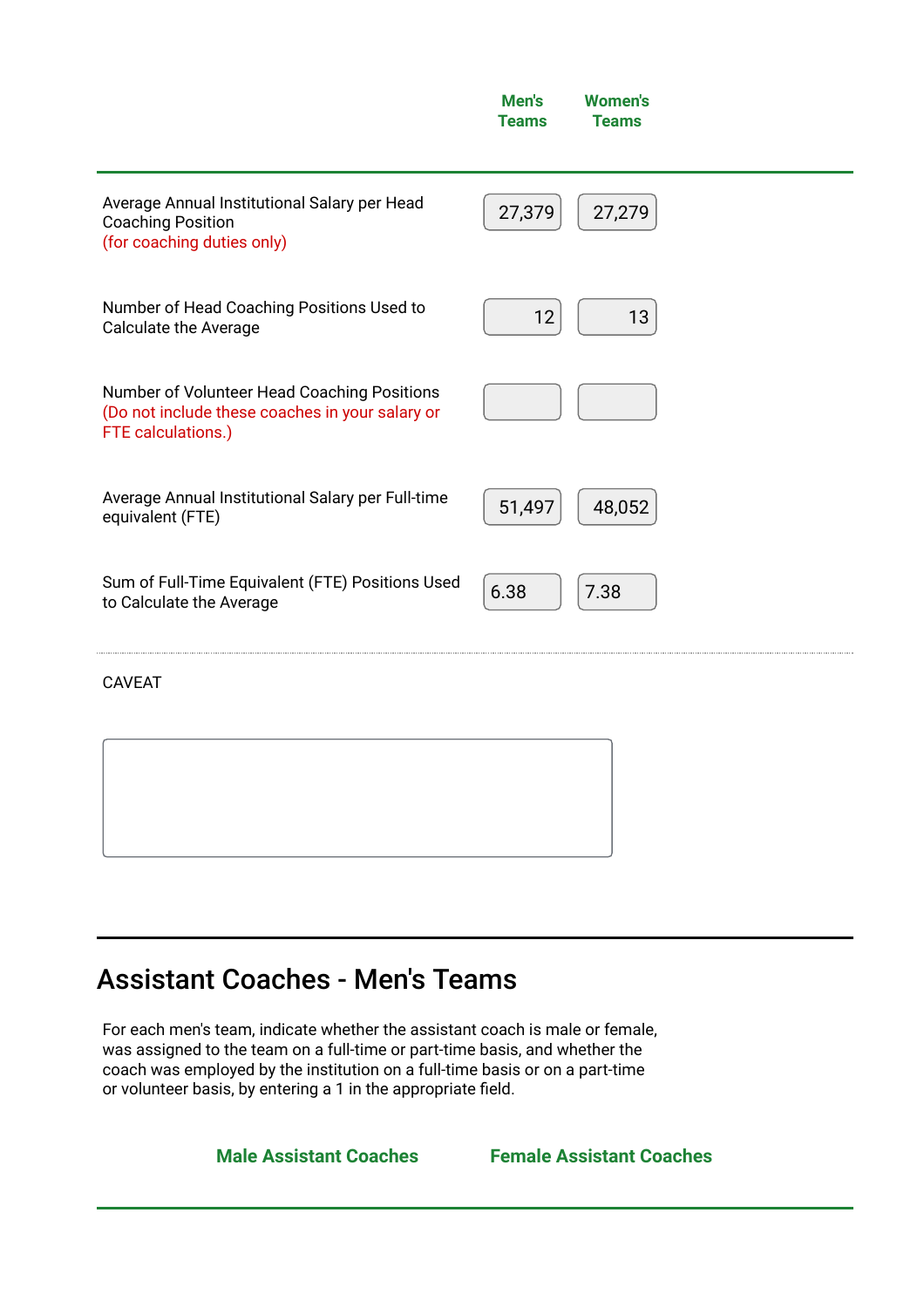|                                                                                                                      | Men's<br><b>Teams</b> | <b>Women's</b><br><b>Teams</b> |  |
|----------------------------------------------------------------------------------------------------------------------|-----------------------|--------------------------------|--|
| Average Annual Institutional Salary per Head<br><b>Coaching Position</b><br>(for coaching duties only)               | 27,379                | 27,279                         |  |
| Number of Head Coaching Positions Used to<br><b>Calculate the Average</b>                                            | 12                    | 13                             |  |
| Number of Volunteer Head Coaching Positions<br>(Do not include these coaches in your salary or<br>FTE calculations.) |                       |                                |  |
| Average Annual Institutional Salary per Full-time<br>equivalent (FTE)                                                | 51,497                | 48,052                         |  |
| Sum of Full-Time Equivalent (FTE) Positions Used<br>to Calculate the Average                                         | 6.38                  | 7.38                           |  |

# Assistant Coaches - Men's Teams

For each men's team, indicate whether the assistant coach is male or female, was assigned to the team on a full-time or part-time basis, and whether the coach was employed by the institution on a full-time basis or on a part-time or volunteer basis, by entering a 1 in the appropriate field.

Male Assistant Coaches Female Assistant Coaches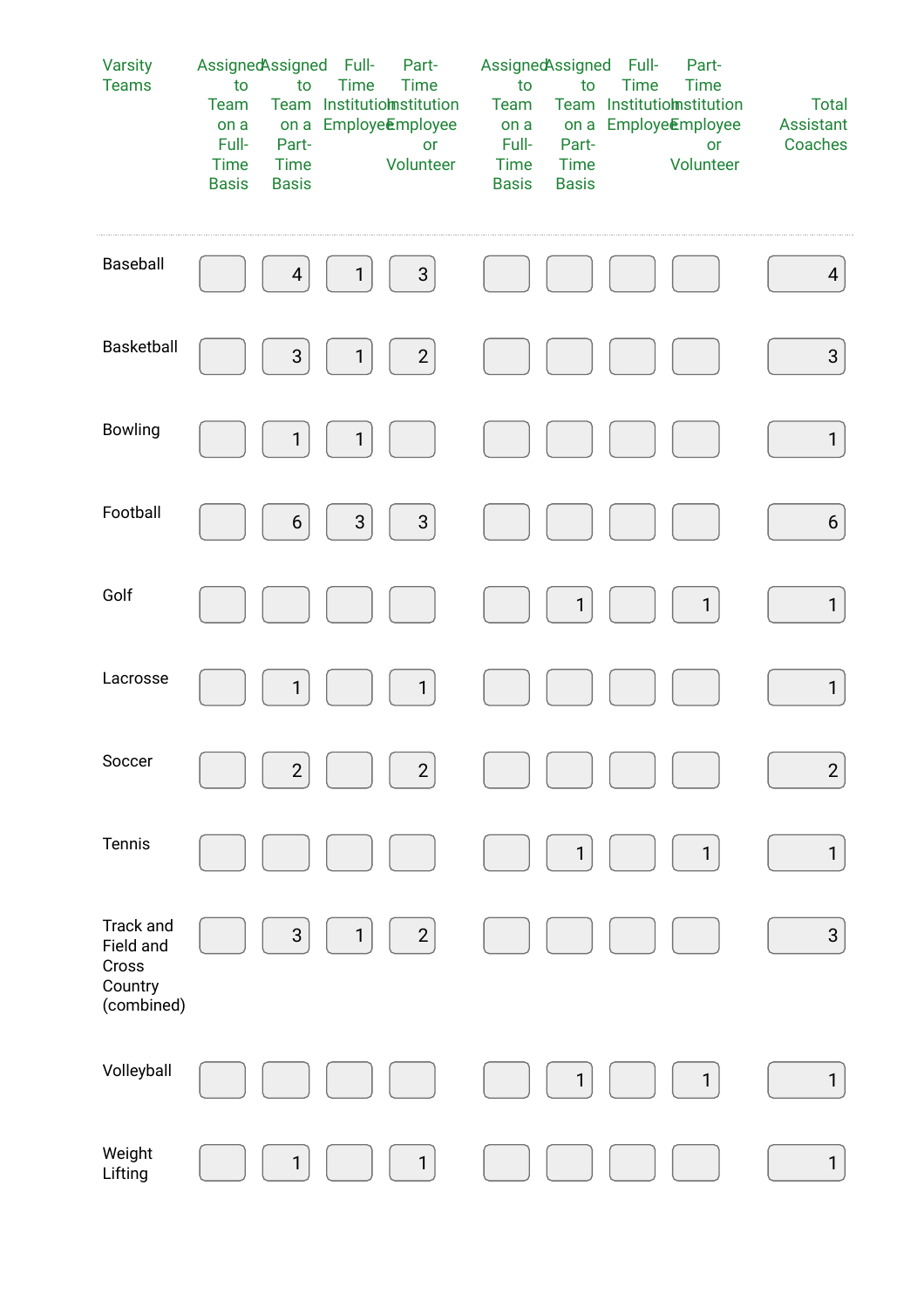| <b>Varsity</b><br><b>Teams</b>                           | AssignedAssigned<br>to<br>to<br>Team<br>on a<br>on a<br>Full-<br>Part-<br><b>Time</b><br>Time<br><b>Basis</b><br><b>Basis</b> | Full-<br>Part-<br><b>Time</b><br><b>Time</b><br>Team Institutiomstitution<br>Employe <b>E</b> mployee<br>or<br>Volunteer | AssignedAssigned<br>to<br>to<br>Team<br>on a<br>on a<br>Full-<br>Part-<br><b>Time</b><br><b>Time</b><br><b>Basis</b><br><b>Basis</b> | Full-<br>Part-<br><b>Time</b><br><b>Time</b><br>Team Institutiomstitution<br>Employe <b>Employee</b><br>or<br>Volunteer | <b>Total</b><br>Assistant<br>Coaches |
|----------------------------------------------------------|-------------------------------------------------------------------------------------------------------------------------------|--------------------------------------------------------------------------------------------------------------------------|--------------------------------------------------------------------------------------------------------------------------------------|-------------------------------------------------------------------------------------------------------------------------|--------------------------------------|
| Baseball                                                 | $\overline{4}$                                                                                                                | $\mathsf{3}$<br>1                                                                                                        |                                                                                                                                      |                                                                                                                         | $\overline{4}$                       |
| Basketball                                               | $\ensuremath{\mathsf{3}}$                                                                                                     | $\mathbf{2}$<br>$\mathbf{1}$                                                                                             |                                                                                                                                      |                                                                                                                         | $\mathbf{3}$                         |
| Bowling                                                  | $\mathbf{1}$                                                                                                                  | $\mathbf{1}$                                                                                                             |                                                                                                                                      |                                                                                                                         | $\mathbf{1}$                         |
| Football                                                 | $6\phantom{.}6$                                                                                                               | 3<br>$\mathsf{3}$                                                                                                        |                                                                                                                                      |                                                                                                                         | $6\,$                                |
| Golf                                                     |                                                                                                                               |                                                                                                                          | $\mathbf{1}$                                                                                                                         | $\mathbf{1}$                                                                                                            | $\mathbf{1}$                         |
| Lacrosse                                                 | 1                                                                                                                             | $\mathbf{1}$                                                                                                             |                                                                                                                                      |                                                                                                                         | $\mathbf{1}$                         |
| Soccer                                                   | $\overline{c}$                                                                                                                | $\overline{c}$                                                                                                           |                                                                                                                                      |                                                                                                                         | $\sqrt{2}$                           |
| Tennis                                                   |                                                                                                                               |                                                                                                                          | $\mathbf{1}$                                                                                                                         | $\mathbf{1}$                                                                                                            | $\mathbf{1}$                         |
| Track and<br>Field and<br>Cross<br>Country<br>(combined) | $\ensuremath{\mathsf{3}}$                                                                                                     | $\overline{c}$<br>1                                                                                                      |                                                                                                                                      |                                                                                                                         | $\sqrt{3}$                           |
| Volleyball                                               |                                                                                                                               |                                                                                                                          | $\mathbf{1}$                                                                                                                         | $\mathbf{1}$                                                                                                            | $\mathbf{1}$                         |
| Weight<br>Lifting                                        | 1                                                                                                                             | $\mathbf{1}$                                                                                                             |                                                                                                                                      |                                                                                                                         | $\mathbf{1}$                         |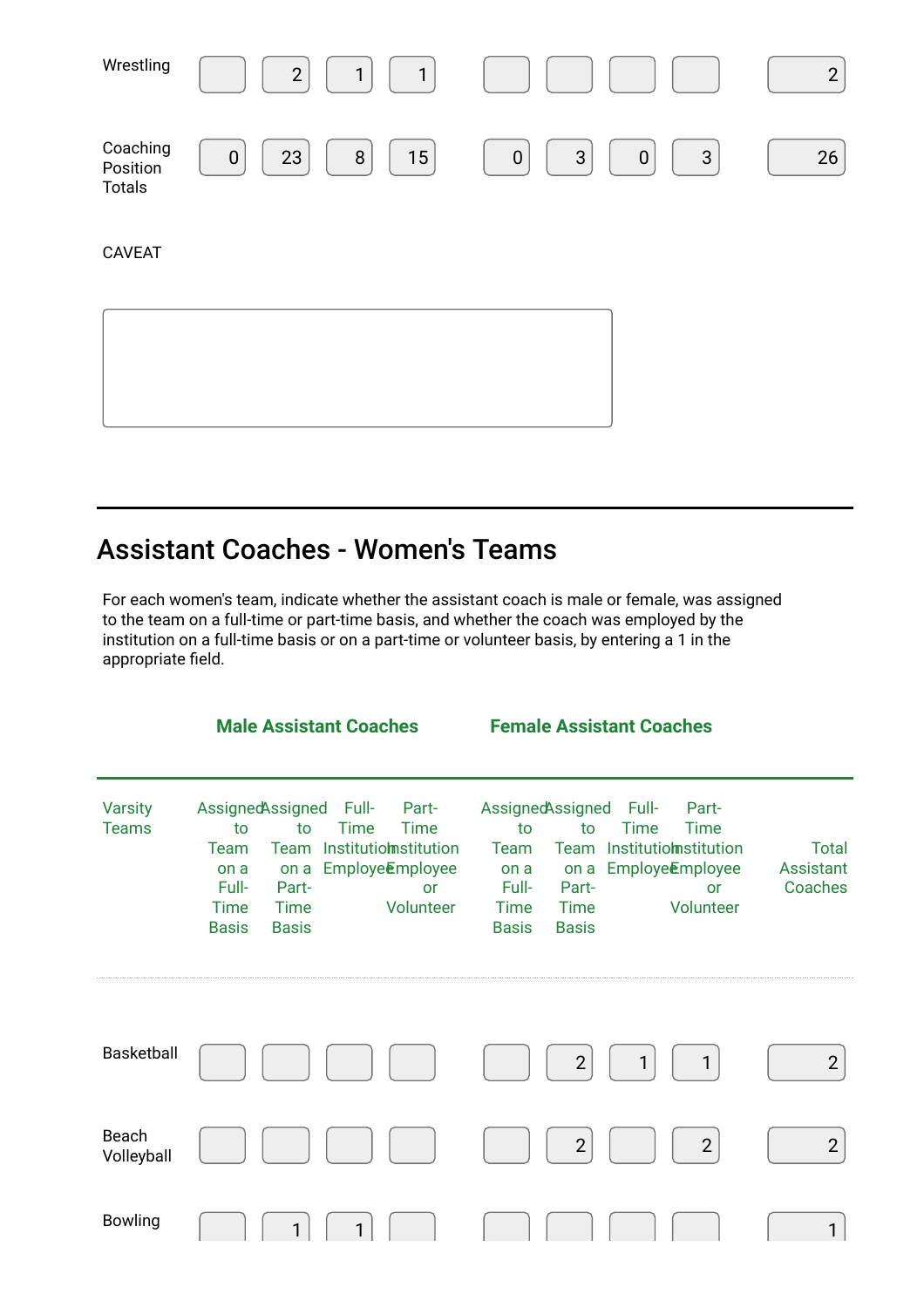| Wrestling                             | $\mathbf{1}$<br>$\overline{2}$<br>1 |                                                                 | $\overline{2}$ |
|---------------------------------------|-------------------------------------|-----------------------------------------------------------------|----------------|
| Coaching<br>Position<br><b>Totals</b> | 15<br>23<br>$\, 8$<br>$\mathbf 0$   | $\mathfrak{S}$<br>$\mathbf{3}$<br>$\boldsymbol{0}$<br>$\pmb{0}$ | 26             |
| <b>CAVEAT</b>                         |                                     |                                                                 |                |
|                                       |                                     |                                                                 |                |
|                                       |                                     |                                                                 |                |

# Assistant Coaches - Women's Teams

For each women's team, indicate whether the assistant coach is male or female, was assigned to the team on a full-time or part-time basis, and whether the coach was employed by the institution on a full-time basis or on a part-time or volunteer basis, by entering a 1 in the appropriate field.

|                                | <b>Male Assistant Coaches</b>                                                                                                                                                                                                                                 | <b>Female Assistant Coaches</b>                                                                                                                                                                                                                               |                                      |  |
|--------------------------------|---------------------------------------------------------------------------------------------------------------------------------------------------------------------------------------------------------------------------------------------------------------|---------------------------------------------------------------------------------------------------------------------------------------------------------------------------------------------------------------------------------------------------------------|--------------------------------------|--|
| <b>Varsity</b><br><b>Teams</b> | AssignedAssigned<br>- Full-<br>Part-<br>to<br>Time<br>Time<br>to<br>Institutiomstitution<br>Team<br>Team<br>Employe <b>Employee</b><br>on a<br>on a<br>Full-<br>Part-<br><b>or</b><br><b>Time</b><br><b>Time</b><br>Volunteer<br><b>Basis</b><br><b>Basis</b> | AssignedAssigned<br>- Full-<br>Part-<br>to<br>Time<br>Time<br>to<br>Institutiomstitution<br><b>Team</b><br>Team<br>Employe <b>Employee</b><br>on a<br>on a<br>Full-<br>Part-<br>or<br><b>Time</b><br>Volunteer<br><b>Time</b><br><b>Basis</b><br><b>Basis</b> | <b>Total</b><br>Assistant<br>Coaches |  |
| <b>Basketball</b>              |                                                                                                                                                                                                                                                               | $\overline{2}$<br>1                                                                                                                                                                                                                                           | $\overline{2}$                       |  |
| Beach<br>Volleyball            |                                                                                                                                                                                                                                                               | $\overline{2}$<br>$\overline{2}$                                                                                                                                                                                                                              | $\overline{2}$                       |  |
| <b>Bowling</b>                 |                                                                                                                                                                                                                                                               |                                                                                                                                                                                                                                                               | $\mathbf{1}$                         |  |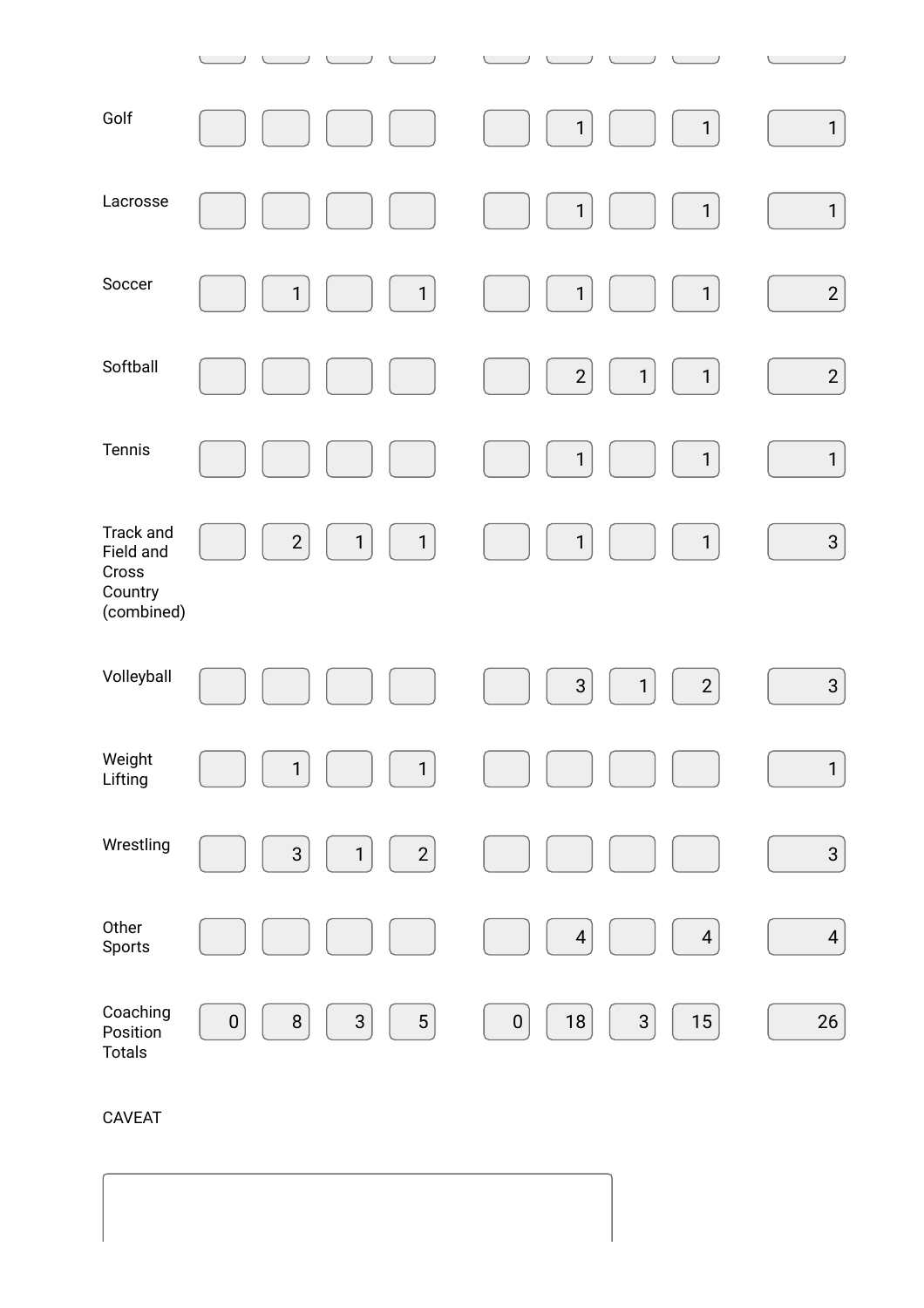| Golf                                                     |                                                    | $\mathbf{1}$<br>$\mathbf{1}$                                | $\mathbf{1}$   |
|----------------------------------------------------------|----------------------------------------------------|-------------------------------------------------------------|----------------|
| Lacrosse                                                 |                                                    | $\mathbf{1}$<br>$\mathbf{1}$                                | $\mathbf{1}$   |
| Soccer                                                   | $\mathbf{1}$<br>$\mathbf{1}$                       | $\mathbf{1}$<br>$\mathbf{1}$                                | $\overline{a}$ |
| Softball                                                 |                                                    | $\overline{c}$<br>$\mathbf{1}$<br>$\mathbf{1}$              | $\overline{c}$ |
| Tennis                                                   |                                                    | $\mathbf{1}$<br>$\mathbf{1}$                                | $\mathbf{1}$   |
| Track and<br>Field and<br>Cross<br>Country<br>(combined) | $\overline{2}$<br>$\mathbf{1}$<br>$\mathbf{1}$     | $\mathbf{1}$<br>$\mathbf{1}$                                | $\mathbf{3}$   |
| Volleyball                                               |                                                    | $\ensuremath{\mathsf{3}}$<br>$\overline{2}$<br>$\mathbf{1}$ | $\mathbf{3}$   |
| Weight<br>Lifting                                        | $\mathbf{1}$<br>$\mathbf{1}$                       |                                                             | $\mathbf{1}$   |
| Wrestling                                                | $\overline{2}$<br>3<br>$\mathbf{1}$                |                                                             | $\mathbf{3}$   |
| Other<br>Sports                                          |                                                    | $\overline{\mathcal{A}}$<br>$\overline{4}$                  | $\overline{4}$ |
| Coaching<br>Position<br><b>Totals</b>                    | $\bf 8$<br>$\mathsf{3}$<br>$\sqrt{5}$<br>$\pmb{0}$ | $18\,$<br>$\sqrt{3}$<br>$15\,$<br>$\pmb{0}$                 | 26             |

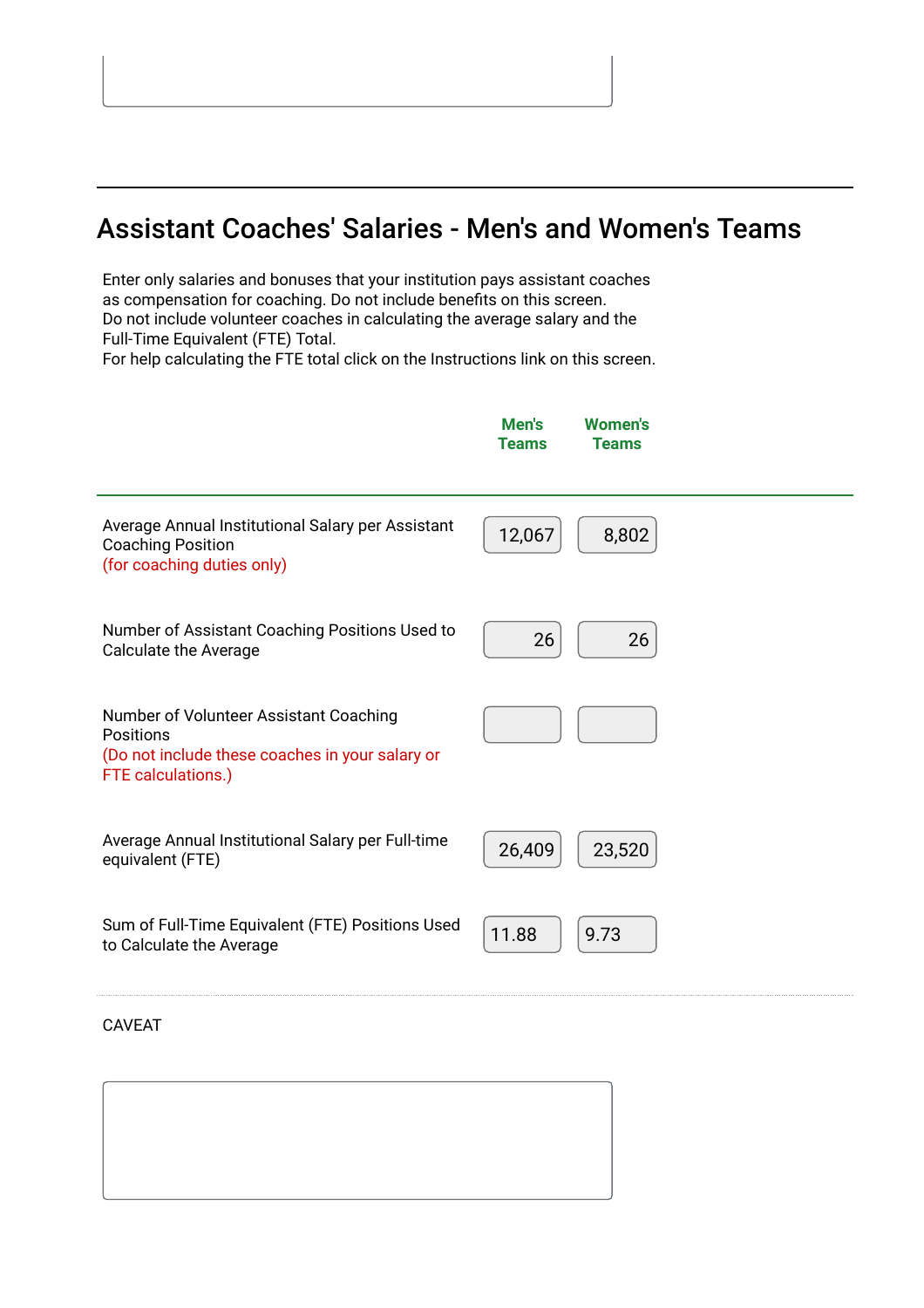# Assistant Coaches' Salaries - Men's and Women's Teams

Enter only salaries and bonuses that your institution pays assistant coaches as compensation for coaching. Do not include benefits on this screen. Do not include volunteer coaches in calculating the average salary and the Full-Time Equivalent (FTE) Total.

For help calculating the FTE total click on the Instructions link on this screen.



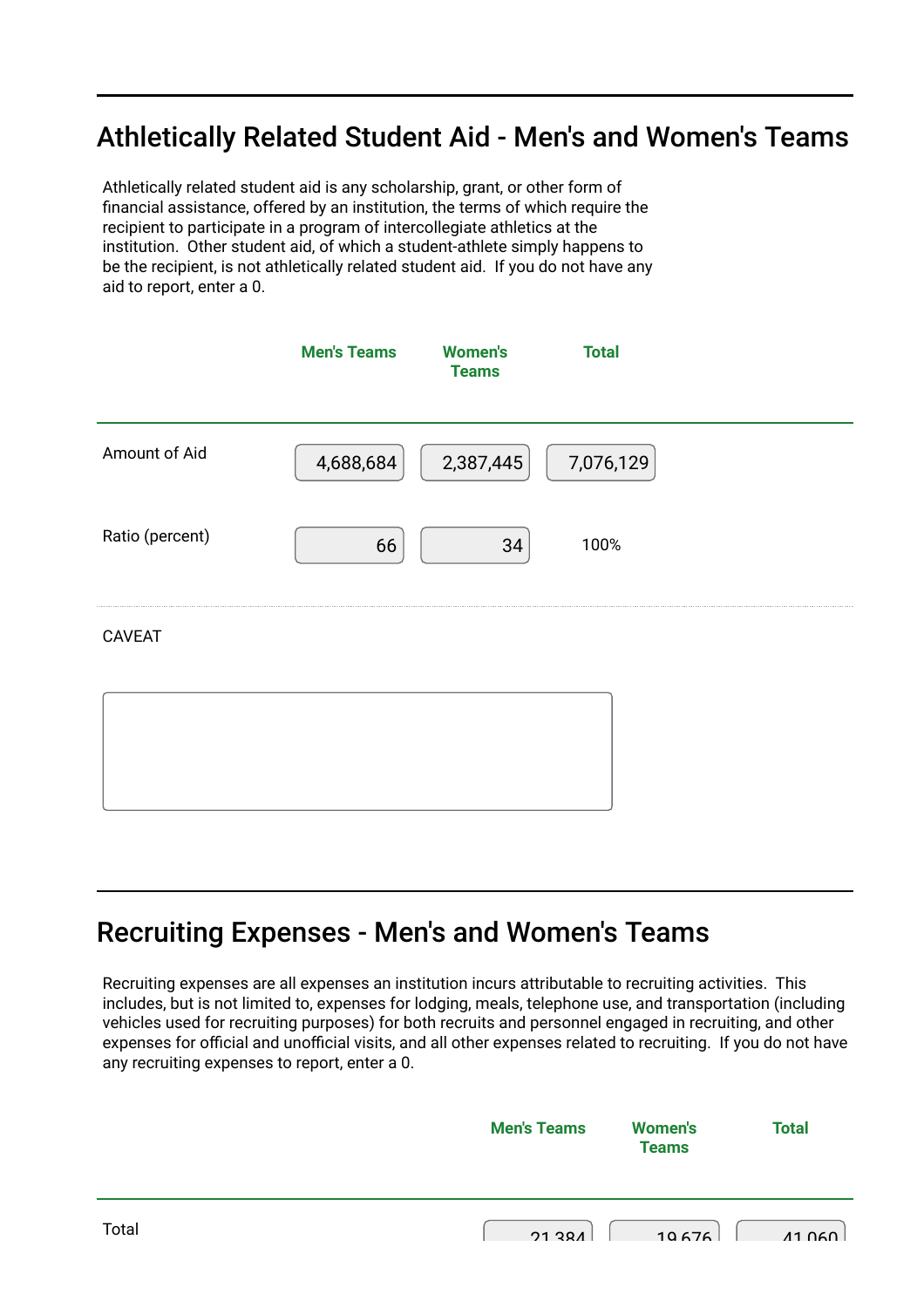# Athletically Related Student Aid - Men's and Women's Teams

Athletically related student aid is any scholarship, grant, or other form of financial assistance, offered by an institution, the terms of which require the recipient to participate in a program of intercollegiate athletics at the institution. Other student aid, of which a student-athlete simply happens to be the recipient, is not athletically related student aid. If you do not have any aid to report, enter a 0.

|                 | <b>Men's Teams</b> | <b>Women's</b><br><b>Teams</b> | <b>Total</b> |  |
|-----------------|--------------------|--------------------------------|--------------|--|
| Amount of Aid   | 4,688,684          | 2,387,445                      | 7,076,129    |  |
| Ratio (percent) | 66                 | 34                             | 100%         |  |
| <b>CAVEAT</b>   |                    |                                |              |  |
|                 |                    |                                |              |  |

### Recruiting Expenses - Men's and Women's Teams

Recruiting expenses are all expenses an institution incurs attributable to recruiting activities. This includes, but is not limited to, expenses for lodging, meals, telephone use, and transportation (including vehicles used for recruiting purposes) for both recruits and personnel engaged in recruiting, and other expenses for official and unofficial visits, and all other expenses related to recruiting. If you do not have any recruiting expenses to report, enter a 0.

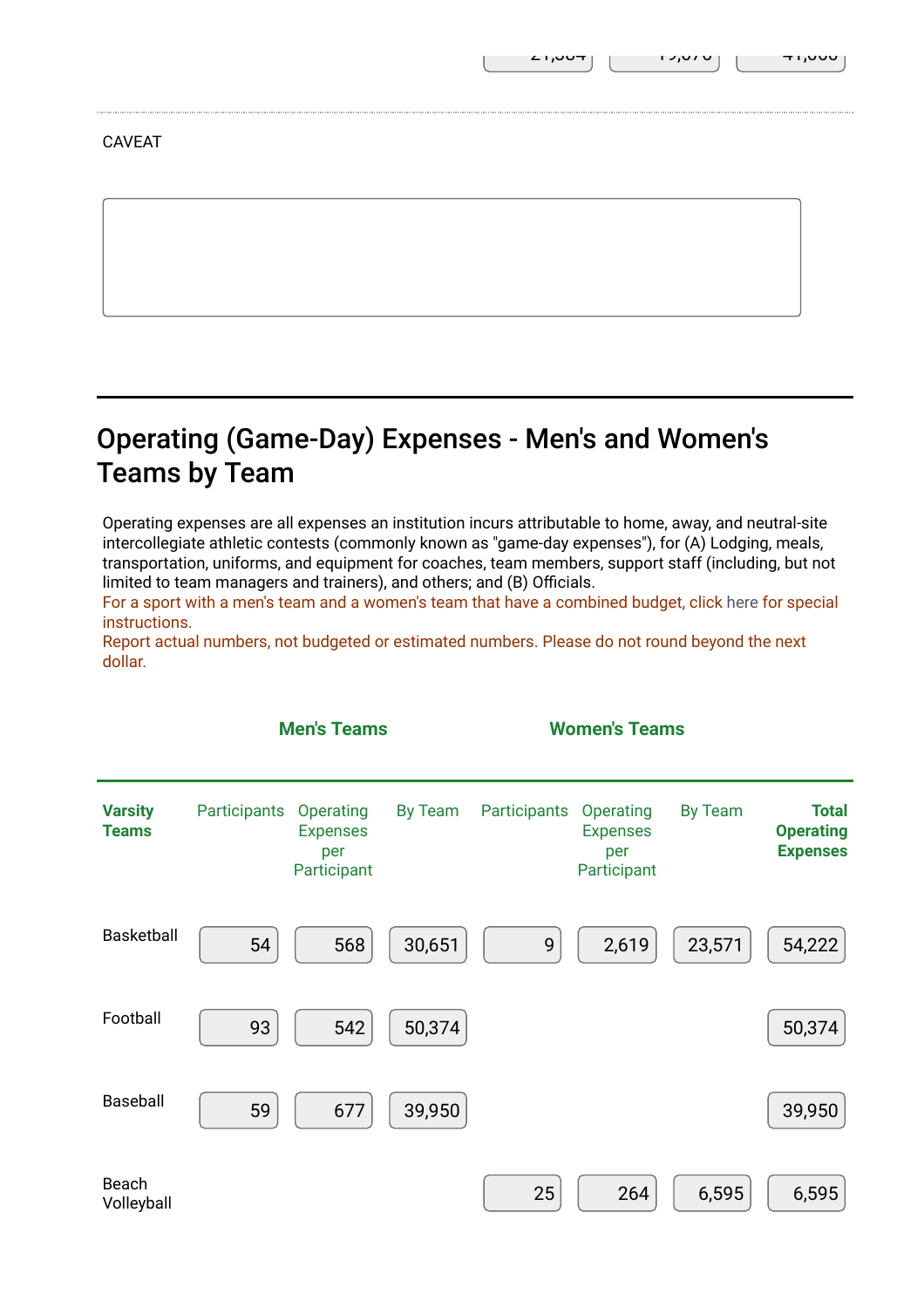# Operating (Game-Day) Expenses - Men's and Women's Teams by Team

Operating expenses are all expenses an institution incurs attributable to home, away, and neutral-site intercollegiate athletic contests (commonly known as "game-day expenses"), for (A) Lodging, meals, transportation, uniforms, and equipment for coaches, team members, support staff (including, but not limited to team managers and trainers), and others; and (B) Officials.

For a sport with a men's team and a women's team that have a combined budget, click [here](https://surveys.ope.ed.gov/athletics2k21/wwwroot/documents/inst_1.pdf) for special instructions.

Report actual numbers, not budgeted or estimated numbers. Please do not round beyond the next dollar.

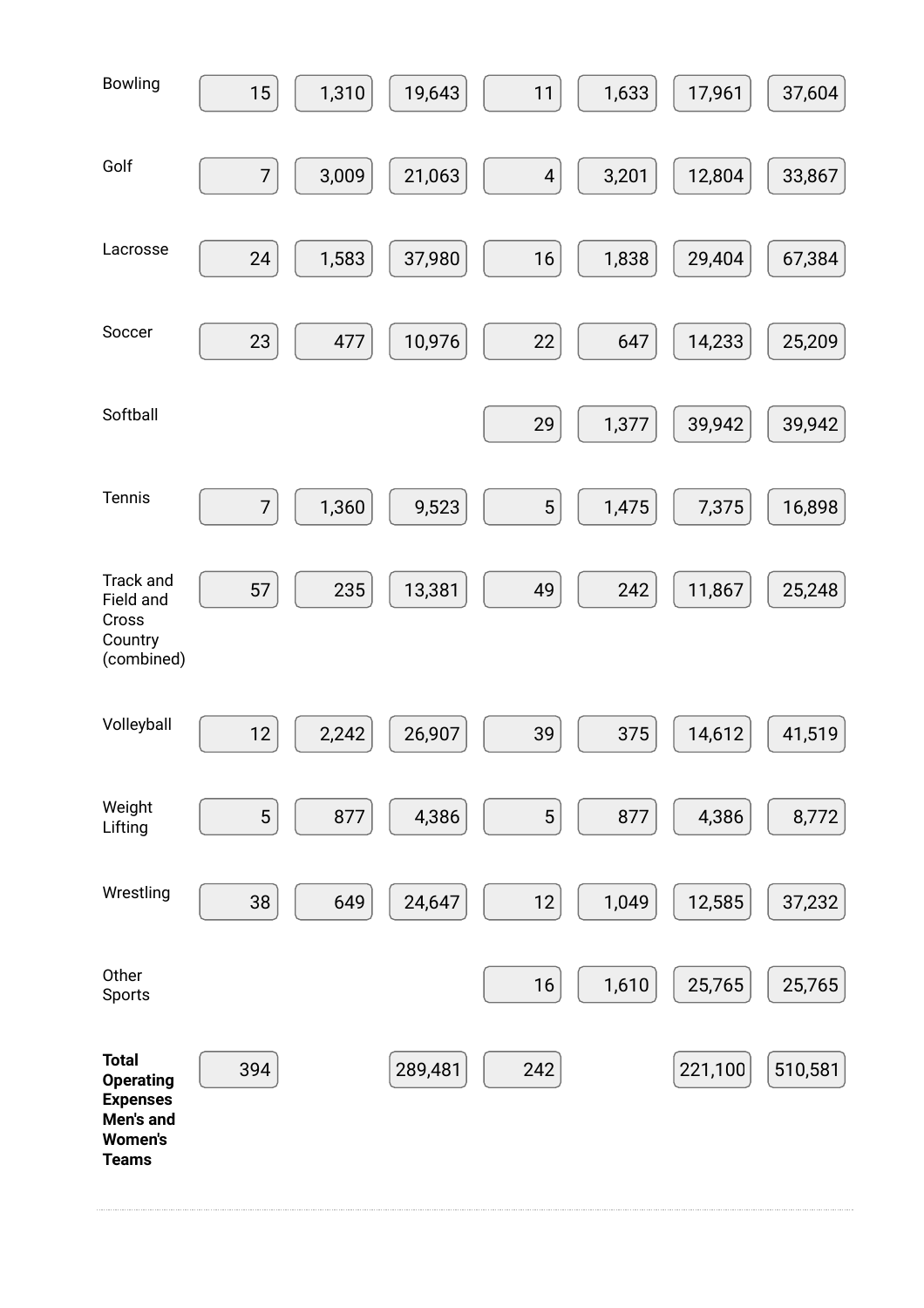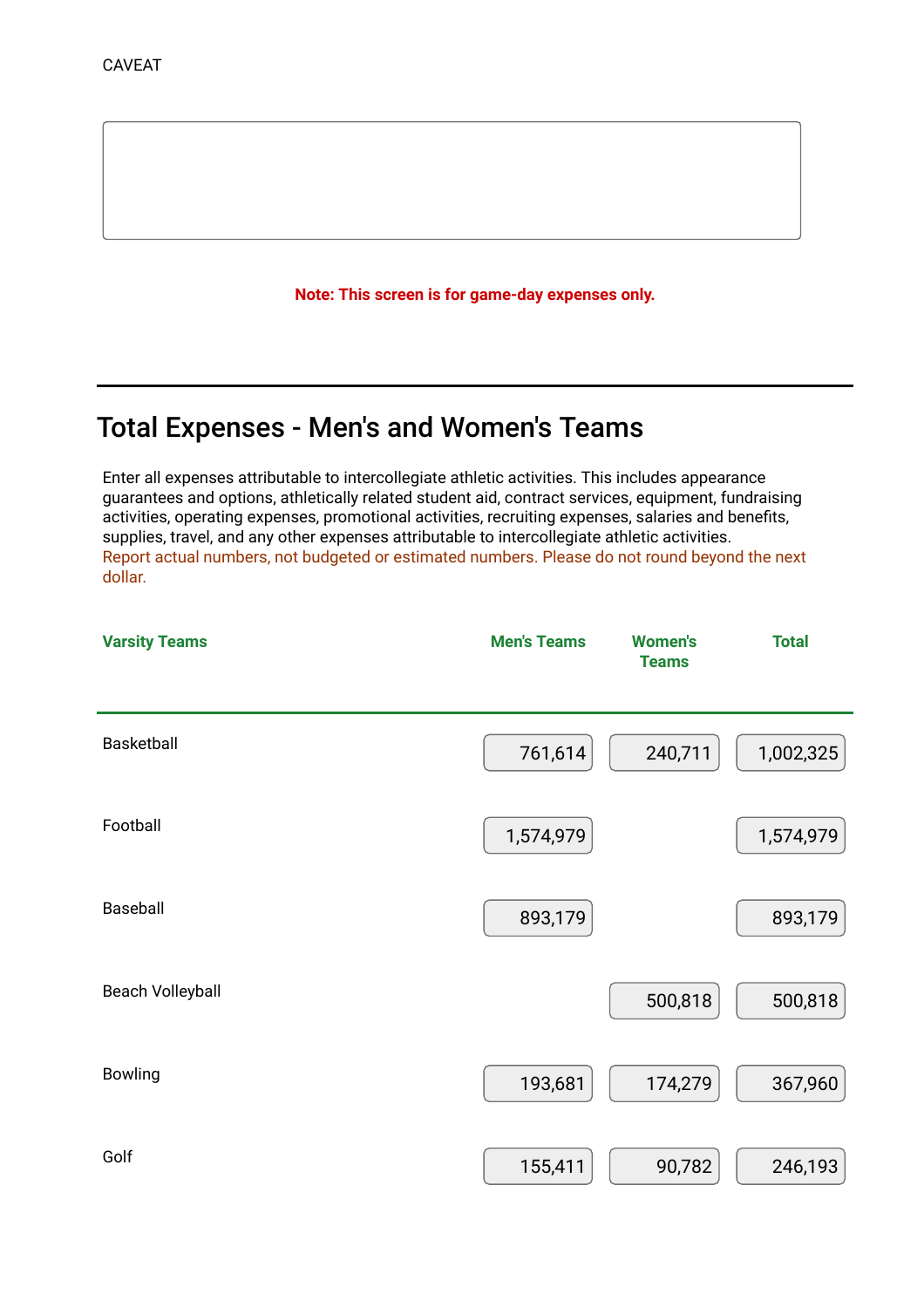Note: This screen is for game-day expenses only.

# Total Expenses - Men's and Women's Teams

Enter all expenses attributable to intercollegiate athletic activities. This includes appearance guarantees and options, athletically related student aid, contract services, equipment, fundraising activities, operating expenses, promotional activities, recruiting expenses, salaries and benefits, supplies, travel, and any other expenses attributable to intercollegiate athletic activities. Report actual numbers, not budgeted or estimated numbers. Please do not round beyond the next dollar.

| <b>Varsity Teams</b>    | <b>Men's Teams</b> | <b>Women's</b><br><b>Teams</b> | <b>Total</b> |
|-------------------------|--------------------|--------------------------------|--------------|
| Basketball              | 761,614            | 240,711                        | 1,002,325    |
| Football                | 1,574,979          |                                | 1,574,979    |
| Baseball                | 893,179            |                                | 893,179      |
| <b>Beach Volleyball</b> |                    | 500,818                        | 500,818      |
| <b>Bowling</b>          | 193,681            | 174,279                        | 367,960      |
| Golf                    | 155,411            | 90,782                         | 246,193      |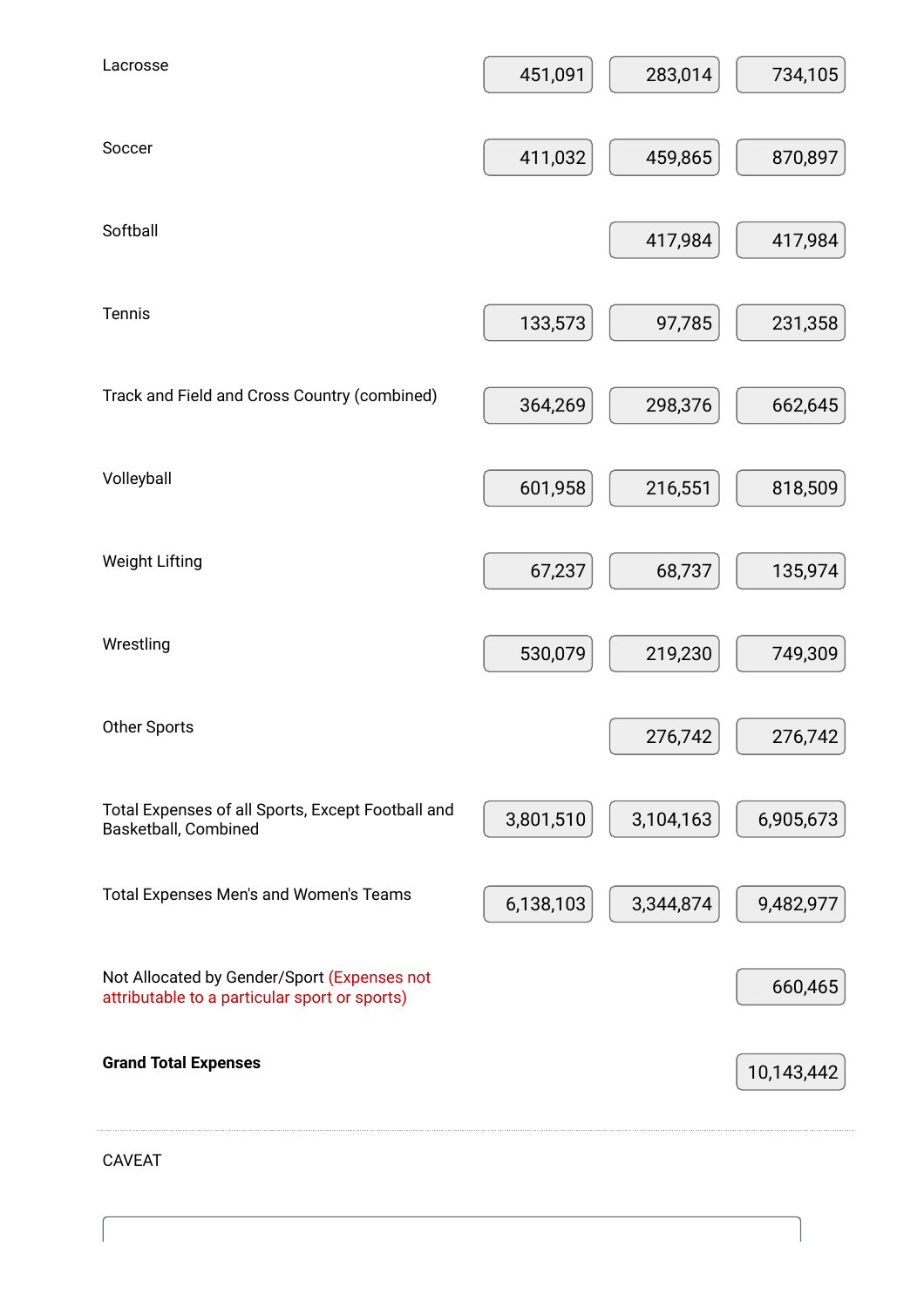| Lacrosse                                                                                     | 451,091   | 283,014   | 734,105    |
|----------------------------------------------------------------------------------------------|-----------|-----------|------------|
| Soccer                                                                                       | 411,032   | 459,865   | 870,897    |
| Softball                                                                                     |           | 417,984   | 417,984    |
|                                                                                              |           |           |            |
| Tennis                                                                                       | 133,573   | 97,785    | 231,358    |
| Track and Field and Cross Country (combined)                                                 | 364,269   | 298,376   | 662,645    |
| Volleyball                                                                                   | 601,958   | 216,551   | 818,509    |
| <b>Weight Lifting</b>                                                                        | 67,237    | 68,737    | 135,974    |
| Wrestling                                                                                    | 530,079   | 219,230   | 749,309    |
|                                                                                              |           |           |            |
| Other Sports                                                                                 |           | 276,742   | 276,742    |
| Total Expenses of all Sports, Except Football and<br>Basketball, Combined                    | 3,801,510 | 3,104,163 | 6,905,673  |
| Total Expenses Men's and Women's Teams                                                       | 6,138,103 | 3,344,874 | 9,482,977  |
| Not Allocated by Gender/Sport (Expenses not<br>attributable to a particular sport or sports) |           |           | 660,465    |
| <b>Grand Total Expenses</b>                                                                  |           |           | 10,143,442 |
|                                                                                              |           |           |            |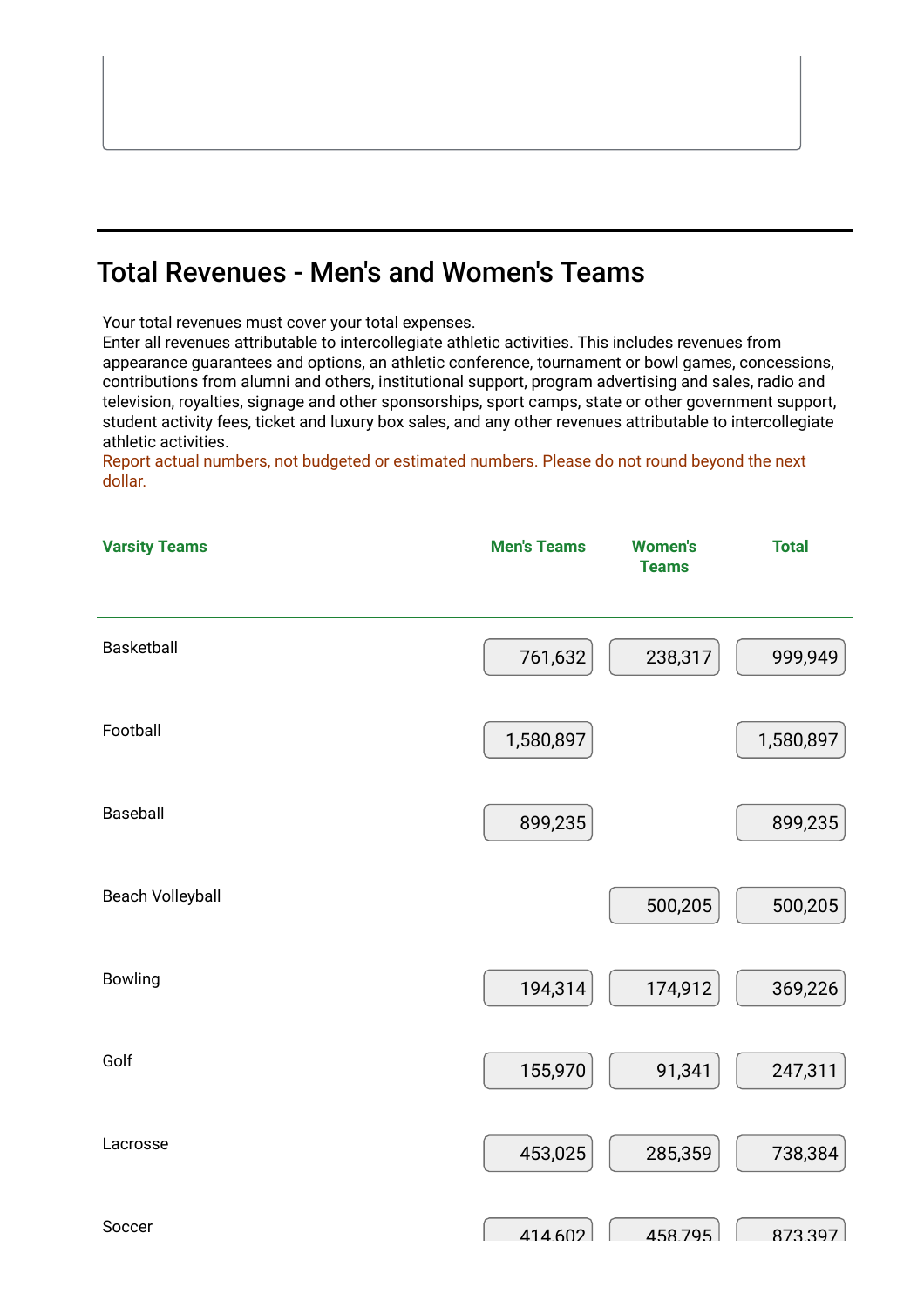# Total Revenues - Men's and Women's Teams

Your total revenues must cover your total expenses.

Enter all revenues attributable to intercollegiate athletic activities. This includes revenues from appearance guarantees and options, an athletic conference, tournament or bowl games, concessions, contributions from alumni and others, institutional support, program advertising and sales, radio and television, royalties, signage and other sponsorships, sport camps, state or other government support, student activity fees, ticket and luxury box sales, and any other revenues attributable to intercollegiate athletic activities.

Report actual numbers, not budgeted or estimated numbers. Please do not round beyond the next dollar.

| <b>Varsity Teams</b>    | <b>Men's Teams</b> | <b>Women's</b><br><b>Teams</b> | <b>Total</b> |
|-------------------------|--------------------|--------------------------------|--------------|
| Basketball              | 761,632            | 238,317                        | 999,949      |
| Football                | 1,580,897          |                                | 1,580,897    |
| Baseball                | 899,235            |                                | 899,235      |
| <b>Beach Volleyball</b> |                    | 500,205                        | 500,205      |
| <b>Bowling</b>          | 194,314            | 174,912                        | 369,226      |
| Golf                    | 155,970            | 91,341                         | 247,311      |
| Lacrosse                | 453,025            | 285,359                        | 738,384      |
| Soccer                  | 414 602            | 458795                         | 873397       |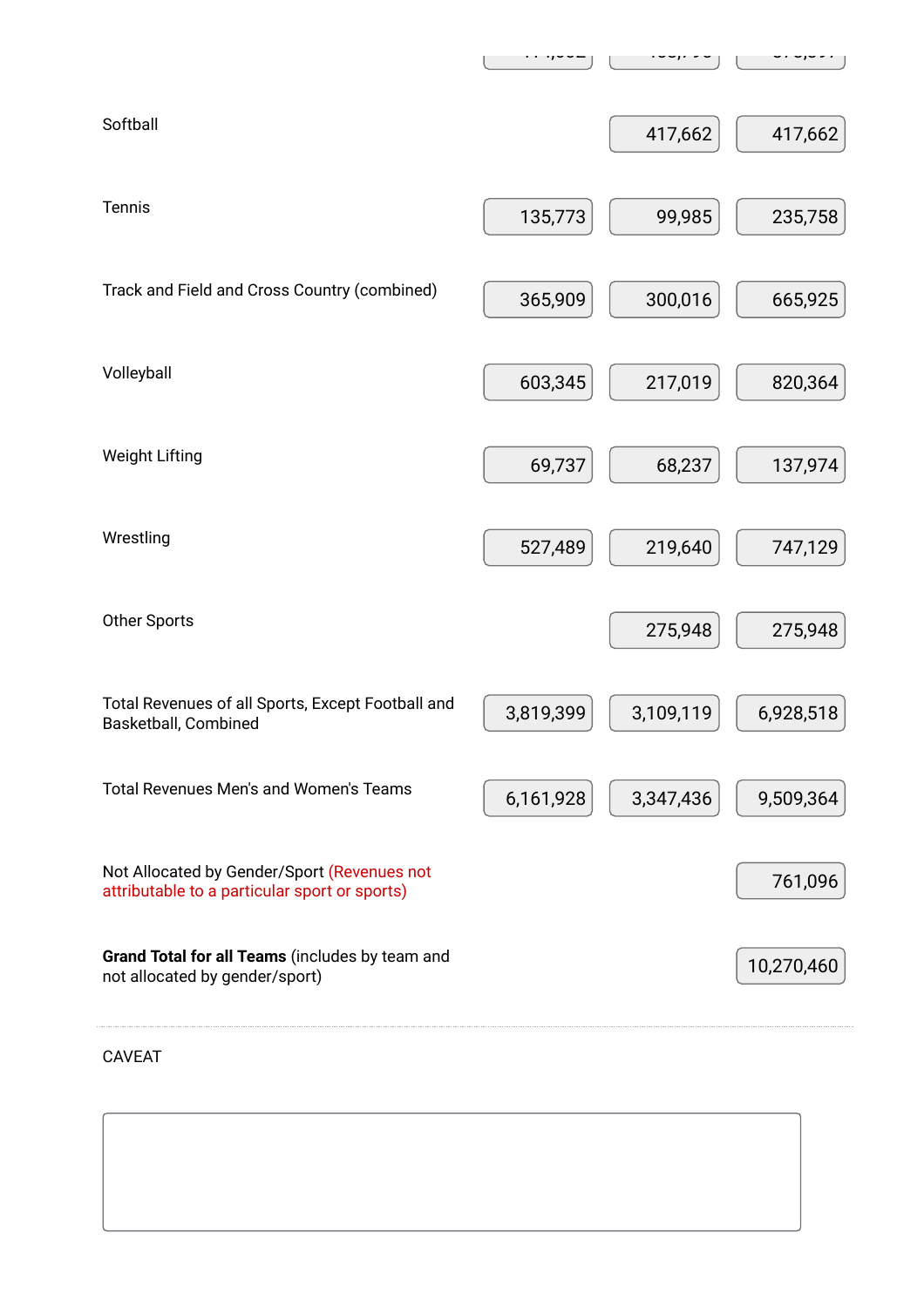| Softball                                                                                     |           | 417,662   | 417,662    |
|----------------------------------------------------------------------------------------------|-----------|-----------|------------|
| Tennis                                                                                       | 135,773   | 99,985    | 235,758    |
| Track and Field and Cross Country (combined)                                                 | 365,909   | 300,016   | 665,925    |
| Volleyball                                                                                   | 603,345   | 217,019   | 820,364    |
| <b>Weight Lifting</b>                                                                        | 69,737    | 68,237    | 137,974    |
| Wrestling                                                                                    | 527,489   | 219,640   | 747,129    |
| <b>Other Sports</b>                                                                          |           | 275,948   | 275,948    |
| Total Revenues of all Sports, Except Football and<br>Basketball, Combined                    | 3,819,399 | 3,109,119 | 6,928,518  |
| <b>Total Revenues Men's and Women's Teams</b>                                                | 6,161,928 | 3,347,436 | 9,509,364  |
| Not Allocated by Gender/Sport (Revenues not<br>attributable to a particular sport or sports) |           |           | 761,096    |
| Grand Total for all Teams (includes by team and<br>not allocated by gender/sport)            |           |           | 10,270,460 |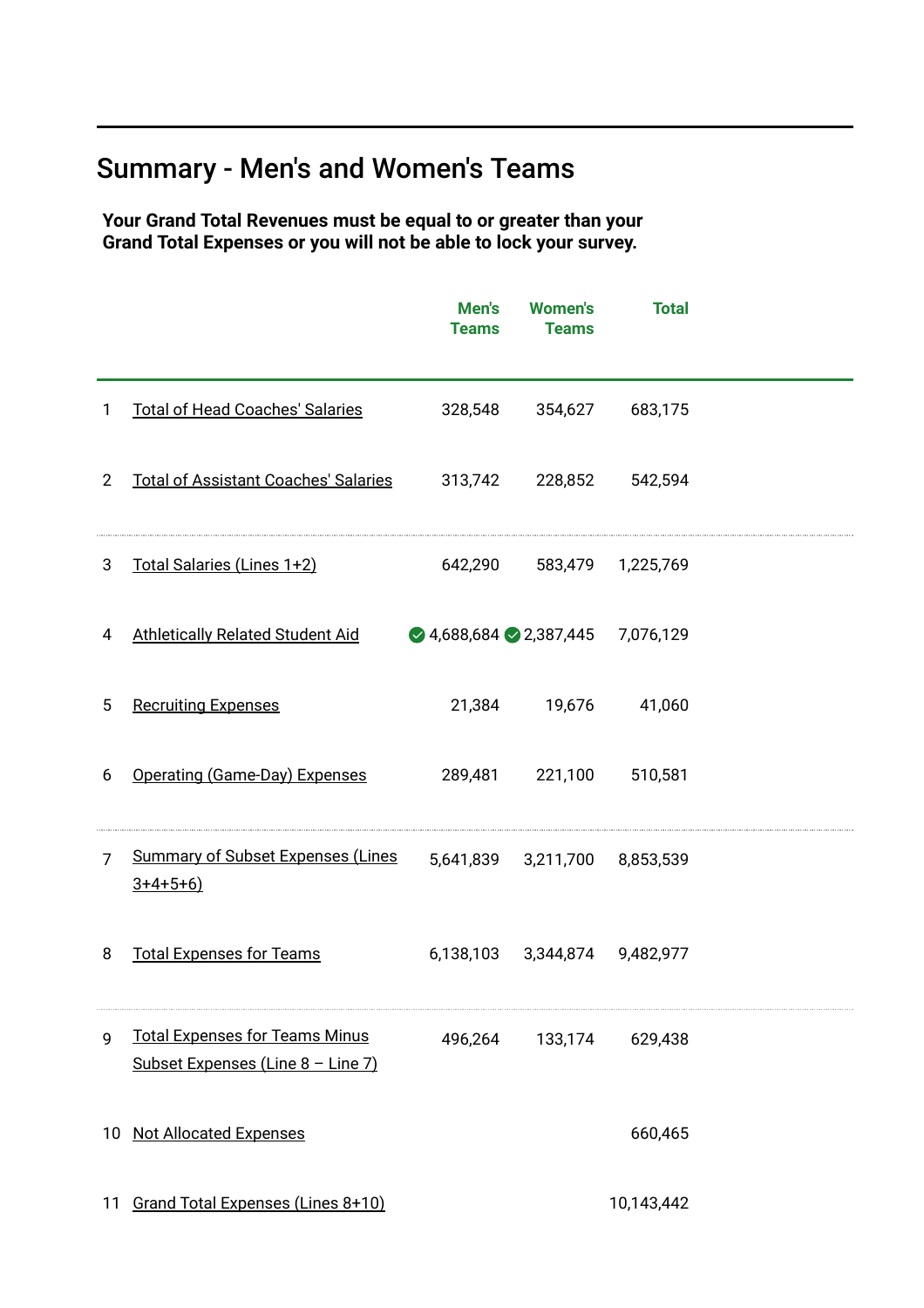# Summary - Men's and Women's Teams

Your Grand Total Revenues must be equal to or greater than your Grand Total Expenses or you will not be able to lock your survey.

|                |                                                                            | Men's<br><b>Teams</b>                               | <b>Women's</b><br><b>Teams</b> | <b>Total</b>      |  |
|----------------|----------------------------------------------------------------------------|-----------------------------------------------------|--------------------------------|-------------------|--|
| $\mathbf{1}$   | <b>Total of Head Coaches' Salaries</b>                                     | 328,548                                             | 354,627                        | 683,175           |  |
| $\overline{2}$ | <b>Total of Assistant Coaches' Salaries</b>                                | 313,742                                             | 228,852                        | 542,594           |  |
| 3              | Total Salaries (Lines 1+2)                                                 | 642,290                                             |                                | 583,479 1,225,769 |  |
| 4              | <b>Athletically Related Student Aid</b>                                    | $\bigcirc$ 4,688,684 $\bigcirc$ 2,387,445 7,076,129 |                                |                   |  |
| 5              | <b>Recruiting Expenses</b>                                                 | 21,384                                              | 19,676                         | 41,060            |  |
| 6              | Operating (Game-Day) Expenses                                              | 289,481                                             | 221,100                        | 510,581           |  |
| $\overline{7}$ | <b>Summary of Subset Expenses (Lines</b><br>$3+4+5+6)$                     |                                                     | 5,641,839 3,211,700 8,853,539  |                   |  |
| 8              | <b>Total Expenses for Teams</b>                                            |                                                     | 6,138,103 3,344,874 9,482,977  |                   |  |
| 9              | <b>Total Expenses for Teams Minus</b><br>Subset Expenses (Line 8 - Line 7) |                                                     | 496,264 133,174 629,438        |                   |  |
| 10             | <b>Not Allocated Expenses</b>                                              |                                                     |                                | 660,465           |  |
| 11             | Grand Total Expenses (Lines 8+10)                                          |                                                     |                                | 10,143,442        |  |